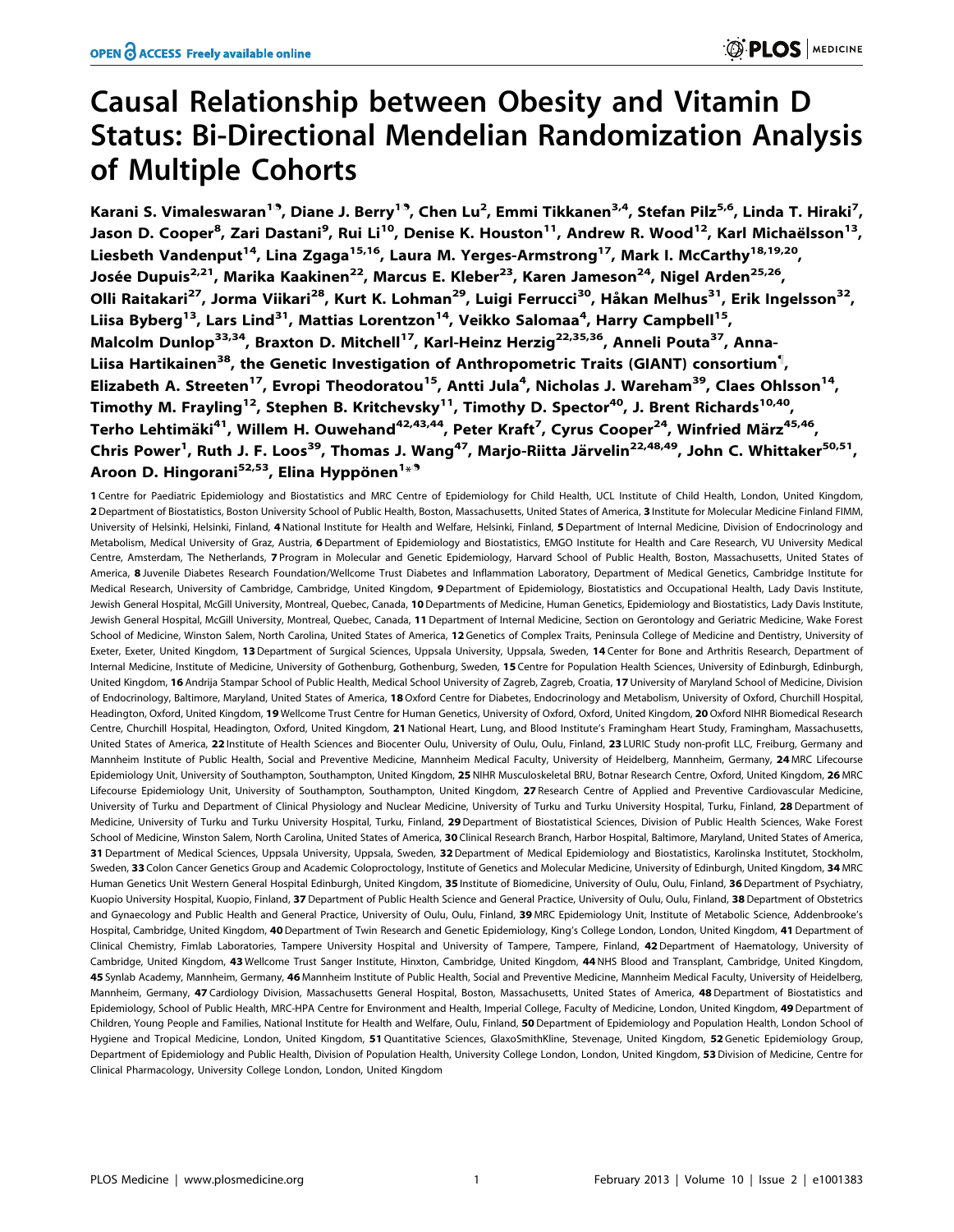# **Causal Relationship between Obesity and Vitamin D Status: Bi-Directional Mendelian Randomization Analysis** of Multiple Cohorts

Karani S. Vimaleswaran<sup>19</sup>, Diane J. Berry<sup>19</sup>, Chen Lu<sup>2</sup>, Emmi Tikkanen<sup>3,4</sup>, Stefan Pilz<sup>5,6</sup>, Linda T. Hiraki<sup>7</sup>, Jason D. Cooper<sup>8</sup>, Zari Dastani<sup>9</sup>, Rui Li<sup>10</sup>, Denise K. Houston<sup>11</sup>, Andrew R. Wood<sup>12</sup>, Karl Michaëlsson<sup>13</sup>, Liesbeth Vandenput<sup>14</sup>, Lina Zgaga<sup>15,16</sup>, Laura M. Yerges-Armstrong<sup>17</sup>, Mark I. McCarthy<sup>18,19,20</sup>, Josée Dupuis<sup>2,21</sup>, Marika Kaakinen<sup>22</sup>, Marcus E. Kleber<sup>23</sup>, Karen Jameson<sup>24</sup>, Nigel Arden<sup>25,26</sup>, Olli Raitakari<sup>27</sup>, Jorma Viikari<sup>28</sup>, Kurt K. Lohman<sup>29</sup>, Luigi Ferrucci<sup>30</sup>, Håkan Melhus<sup>31</sup>, Erik Ingelsson<sup>32</sup>, Liisa Byberg<sup>13</sup>, Lars Lind<sup>31</sup>, Mattias Lorentzon<sup>14</sup>, Veikko Salomaa<sup>4</sup>, Harry Campbell<sup>15</sup>, Malcolm Dunlop<sup>33,34</sup>, Braxton D. Mitchell<sup>17</sup>, Karl-Heinz Herzig<sup>22,35,36</sup>, Anneli Pouta<sup>37</sup>, Anna-Liisa Hartikainen<sup>38</sup>, the Genetic Investigation of Anthropometric Traits (GIANT) consortium<sup>1</sup>, Elizabeth A. Streeten<sup>17</sup>, Evropi Theodoratou<sup>15</sup>, Antti Jula<sup>4</sup>, Nicholas J. Wareham<sup>39</sup>, Claes Ohlsson<sup>14</sup>, Timothy M. Frayling<sup>12</sup>, Stephen B. Kritchevsky<sup>11</sup>, Timothy D. Spector<sup>40</sup>, J. Brent Richards<sup>10,40</sup>, Terho Lehtimäki<sup>41</sup>, Willem H. Ouwehand<sup>42,43,44</sup>, Peter Kraft<sup>7</sup>, Cyrus Cooper<sup>24</sup>, Winfried März<sup>45,46</sup>, Chris Power<sup>1</sup>, Ruth J. F. Loos<sup>39</sup>, Thomas J. Wang<sup>47</sup>, Marjo-Riitta Järvelin<sup>22,48,49</sup>, John C. Whittaker<sup>50,51</sup>, Aroon D. Hingorani<sup>52,53</sup>, Elina Hyppönen<sup>1\*</sup><sup>9</sup>

1 Centre for Paediatric Epidemiology and Biostatistics and MRC Centre of Epidemiology for Child Health, UCL Institute of Child Health, London, United Kingdom, 2 Department of Biostatistics, Boston University School of Public Health, Boston, Massachusetts, United States of America, 3 Institute for Molecular Medicine Finland FIMM, University of Helsinki, Helsinki, Finland, 4 National Institute for Health and Welfare, Helsinki, Finland, 5 Department of Internal Medicine, Division of Endocrinology and Metabolism, Medical University of Graz, Austria, 6 Department of Epidemiology and Biostatistics, EMGO Institute for Health and Care Research, VU University Medical Centre, Amsterdam, The Netherlands, 7 Program in Molecular and Genetic Epidemiology, Harvard School of Public Health, Boston, Massachusetts, United States of America, 8 Juvenile Diabetes Research Foundation/Wellcome Trust Diabetes and Inflammation Laboratory, Department of Medical Genetics, Cambridge Institute for Medical Research, University of Cambridge, Cambridge, United Kingdom, 9 Department of Epidemiology, Biostatistics and Occupational Health, Lady Davis Institute, Jewish General Hospital, McGill University, Montreal, Quebec, Canada, 10 Departments of Medicine, Human Genetics, Epidemiology and Biostatistics, Lady Davis Institute, Jewish General Hospital, McGill University, Montreal, Quebec, Canada, 11 Department of Internal Medicine, Section on Gerontology and Geriatric Medicine, Wake Forest School of Medicine, Winston Salem, North Carolina, United States of America, 12 Genetics of Complex Traits, Peninsula College of Medicine and Dentistry, University of Exeter, Exeter, United Kingdom, 13 Department of Surgical Sciences, Uppsala University, Uppsala, Sweden, 14 Center for Bone and Arthritis Research, Department of Internal Medicine, Institute of Medicine, University of Gothenburg, Gothenburg, Sweden, 15 Centre for Population Health Sciences, University of Edinburgh, Edinburgh, United Kingdom, 16 Andrija Stampar School of Public Health, Medical School University of Zagreb, Zagreb, Croatia, 17 University of Maryland School of Medicine, Division of Endocrinology, Baltimore, Maryland, United States of America, 18 Oxford Centre for Diabetes, Endocrinology and Metabolism, University of Oxford, Churchill Hospital, Headington, Oxford, United Kingdom, 19 Wellcome Trust Centre for Human Genetics, University of Oxford, Oxford, Onited Kingdom, 20 Oxford NIHR Biomedical Research Centre, Churchill Hospital, Headington, Oxford, United Kingdom, 21 National Heart, Lung, and Blood Institute's Framingham Heart Study, Framingham, Massachusetts, United States of America, 22 Institute of Health Sciences and Biocenter Oulu, University of Oulu, Oulu, Finland, 23 LURIC Study non-profit LLC, Freiburg, Germany and Mannheim Institute of Public Health, Social and Preventive Medicine, Mannheim Medical Faculty, University of Heidelberg, Mannheim, Germany, 24 MRC Lifecourse Epidemiology Unit, University of Southampton, Southampton, United Kingdom, 25 NIHR Musculoskeletal BRU, Botnar Research Centre, Oxford, United Kingdom, 26 MRC Lifecourse Epidemiology Unit, University of Southampton, Southampton, United Kingdom, 27 Research Centre of Applied and Preventive Cardiovascular Medicine, University of Turku and Department of Clinical Physiology and Nuclear Medicine, University of Turku and Turku University Hospital, Turku, Finland, 28 Department of Medicine, University of Turku and Turku University Hospital, Turku, Finland, 29 Department of Biostatistical Sciences, Division of Public Health Sciences, Wake Forest School of Medicine, Winston Salem, North Carolina, United States of America, 30 Clinical Research Branch, Harbor Hospital, Baltimore, Maryland, United States of America. 31 Department of Medical Sciences, Uppsala University, Uppsala, Sweden, 32 Department of Medical Epidemiology and Biostatistics, Karolinska Institutet, Stockholm, Sweden, 33 Colon Cancer Genetics Group and Academic Coloproctology, Institute of Genetics and Molecular Medicine, University of Edinburgh, United Kingdom, 34 MRC Human Genetics Unit Western General Hospital Edinburgh, United Kingdom, 35 Institute of Biomedicine, University of Oulu, Oulu, Finland, 36 Department of Psychiatry, Kuopio University Hospital, Kuopio, Finland, 37 Department of Public Health Science and General Practice, University of Oulu, Oulu, Finland, 38 Department of Obstetrics and Gynaecology and Public Health and General Practice, University of Oulu, Oulu, Finland, 39 MRC Epidemiology Unit, Institute of Metabolic Science, Addenbrooke's Hospital, Cambridge, United Kingdom, 40 Department of Twin Research and Genetic Epidemiology, King's College London, London, United Kingdom, 41 Department of Clinical Chemistry, Fimlab Laboratories, Tampere University Hospital and University of Tampere, Tampere, Finland, 42 Department of Haematology, University of Cambridge, United Kingdom, 43 Wellcome Trust Sanger Institute, Hinxton, Cambridge, United Kingdom, 44 NHS Blood and Transplant, Cambridge, United Kingdom, 45 Synlab Academy, Mannheim, Germany, 46 Mannheim Institute of Public Health, Social and Preventive Medicine, Mannheim Medical Faculty, University of Heidelberg, Mannheim, Germany, 47 Cardiology Division, Massachusetts General Hospital, Boston, Massachusetts, United States of America, 48 Department of Biostatistics and Epidemiology, School of Public Health, MRC-HPA Centre for Environment and Health, Imperial College, Faculty of Medicine, London, United Kingdom, 49 Department of Children, Young People and Families, National Institute for Health and Welfare, Oulu, Finland, 50 Department of Epidemiology and Population Health, London School of Hygiene and Tropical Medicine, London, United Kingdom, 51 Quantitative Sciences, GlaxoSmithKline, Stevenage, United Kingdom, 52 Genetic Epidemiology Group, Department of Epidemiology and Public Health, Division of Population Health, University College London, London, United Kingdom, 53 Division of Medicine, Centre for Clinical Pharmacology, University College London, London, United Kingdom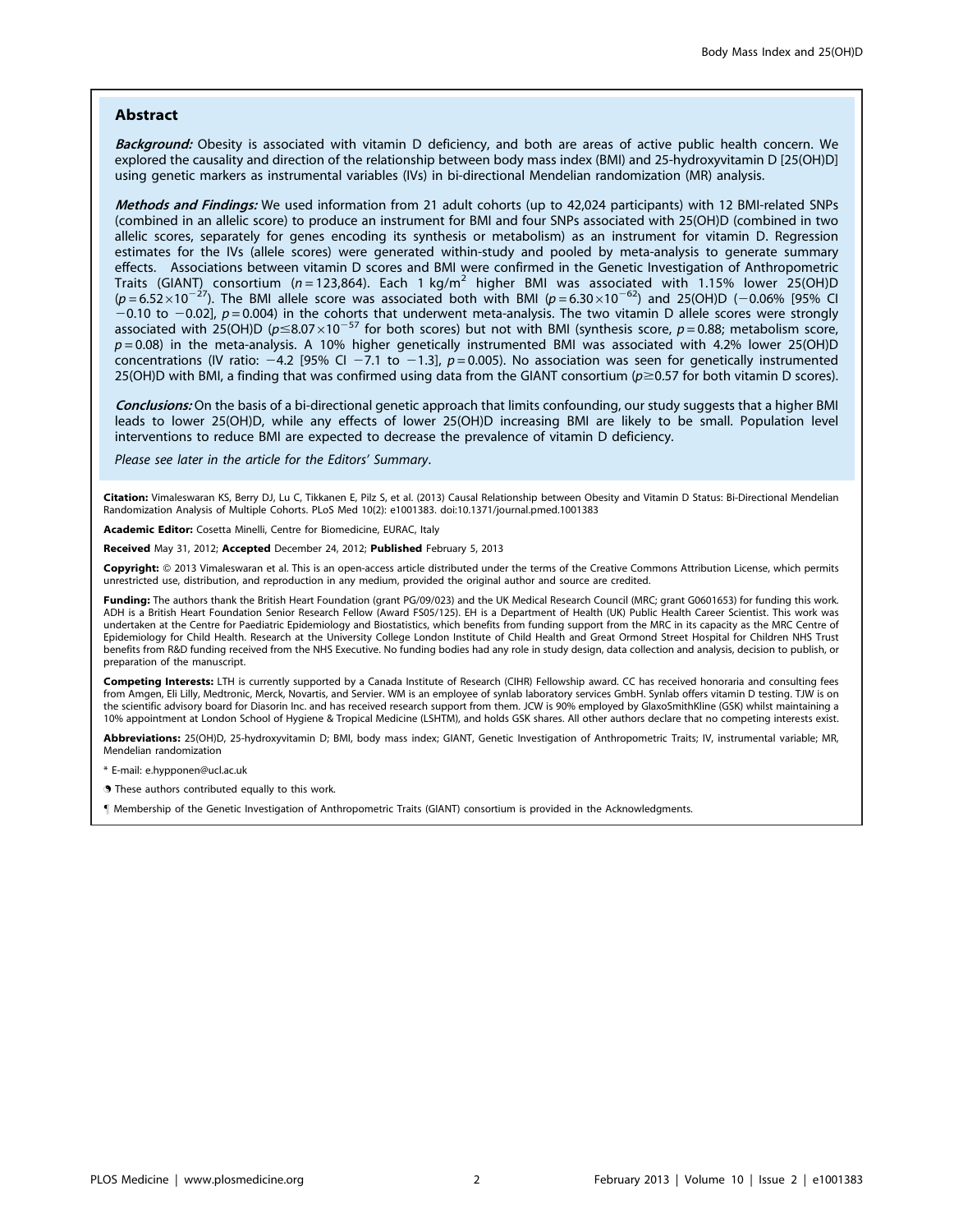## Abstract

Background: Obesity is associated with vitamin D deficiency, and both are areas of active public health concern. We explored the causality and direction of the relationship between body mass index (BMI) and 25-hydroxyvitamin D [25(OH)D] using genetic markers as instrumental variables (IVs) in bi-directional Mendelian randomization (MR) analysis.

Methods and Findings: We used information from 21 adult cohorts (up to 42,024 participants) with 12 BMI-related SNPs (combined in an allelic score) to produce an instrument for BMI and four SNPs associated with 25(OH)D (combined in two allelic scores, separately for genes encoding its synthesis or metabolism) as an instrument for vitamin D. Regression estimates for the IVs (allele scores) were generated within-study and pooled by meta-analysis to generate summary effects. Associations between vitamin D scores and BMI were confirmed in the Genetic Investigation of Anthropometric Traits (GIANT) consortium ( $n = 123,864$ ). Each 1 kg/m<sup>2</sup> higher BMI was associated with 1.15% lower 25(OH)D ( $p = 6.52 \times 10^{-27}$ ). The BMI allele score was associated both with BMI ( $p = 6.30 \times 10^{-62}$ ) and 25(OH)D (-0.06% [95% CI  $-0.10$  to  $-0.02$ ],  $p = 0.004$ ) in the cohorts that underwent meta-analysis. The two vitamin D allele scores were strongly associated with 25(OH)D ( $p \le 8.07 \times 10^{-57}$  for both scores) but not with BMI (synthesis score,  $p = 0.88$ ; metabolism score,  $p = 0.08$ ) in the meta-analysis. A 10% higher genetically instrumented BMI was associated with 4.2% lower 25(OH)D concentrations (IV ratio:  $-4.2$  [95% CI -7.1 to -1.3],  $p = 0.005$ ). No association was seen for genetically instrumented 25(OH)D with BMI, a finding that was confirmed using data from the GIANT consortium ( $p \ge 0.57$  for both vitamin D scores).

Conclusions: On the basis of a bi-directional genetic approach that limits confounding, our study suggests that a higher BMI leads to lower 25(OH)D, while any effects of lower 25(OH)D increasing BMI are likely to be small. Population level interventions to reduce BMI are expected to decrease the prevalence of vitamin D deficiency.

Please see later in the article for the Editors' Summary.

Citation: Vimaleswaran KS, Berry DJ, Lu C, Tikkanen E, Pilz S, et al. (2013) Causal Relationship between Obesity and Vitamin D Status: Bi-Directional Mendelian Randomization Analysis of Multiple Cohorts. PLoS Med 10(2): e1001383. doi:10.1371/journal.pmed.1001383

Academic Editor: Cosetta Minelli, Centre for Biomedicine, EURAC, Italy

Received May 31, 2012; Accepted December 24, 2012; Published February 5, 2013

**Copyright:** © 2013 Vimaleswaran et al. This is an open-access article distributed under the terms of the Creative Commons Attribution License, which permits unrestricted use, distribution, and reproduction in any medium, provided the original author and source are credited.

Funding: The authors thank the British Heart Foundation (grant PG/09/023) and the UK Medical Research Council (MRC; grant G0601653) for funding this work. ADH is a British Heart Foundation Senior Research Fellow (Award FS05/125). EH is a Department of Health (UK) Public Health Career Scientist. This work was undertaken at the Centre for Paediatric Epidemiology and Biostatistics, which benefits from funding support from the MRC in its capacity as the MRC Centre of Epidemiology for Child Health. Research at the University College London Institute of Child Health and Great Ormond Street Hospital for Children NHS Trust benefits from R&D funding received from the NHS Executive. No funding bodies had any role in study design, data collection and analysis, decision to publish, or preparation of the manuscript.

Competing Interests: LTH is currently supported by a Canada Institute of Research (CIHR) Fellowship award. CC has received honoraria and consulting fees from Amgen, Eli Lilly, Medtronic, Merck, Novartis, and Servier. WM is an employee of synlab laboratory services GmbH. Synlab offers vitamin D testing. TJW is on the scientific advisory board for Diasorin Inc. and has received research support from them. JCW is 90% employed by GlaxoSmithKline (GSK) whilst maintaining a 10% appointment at London School of Hygiene & Tropical Medicine (LSHTM), and holds GSK shares. All other authors declare that no competing interests exist.

Abbreviations: 25(OH)D, 25-hydroxyvitamin D; BMI, body mass index; GIANT, Genetic Investigation of Anthropometric Traits; IV, instrumental variable; MR, Mendelian randomization

- \* E-mail: e.hypponen@ucl.ac.uk
- . These authors contributed equally to this work.

" Membership of the Genetic Investigation of Anthropometric Traits (GIANT) consortium is provided in the Acknowledgments.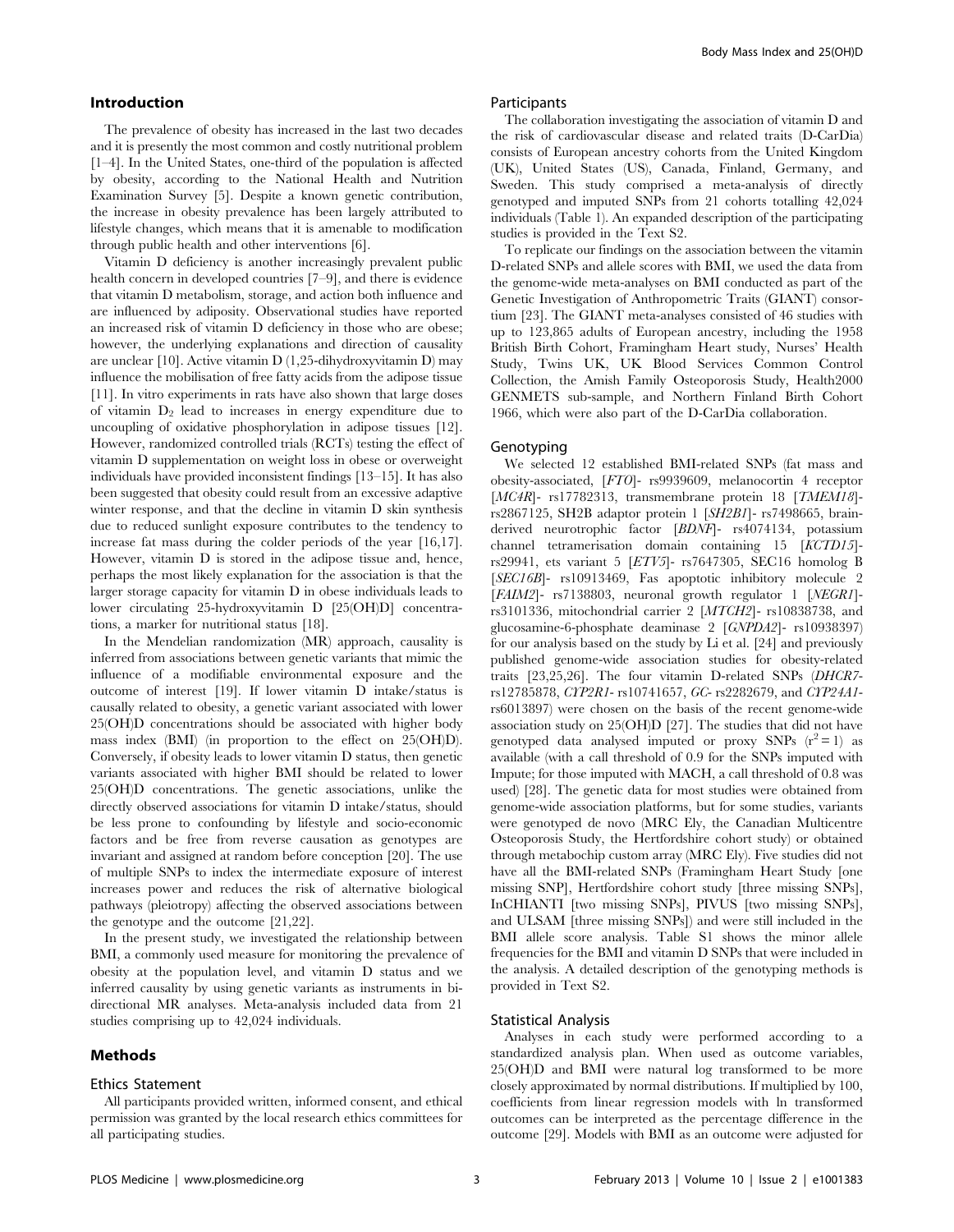## Introduction

The prevalence of obesity has increased in the last two decades and it is presently the most common and costly nutritional problem [1–4]. In the United States, one-third of the population is affected by obesity, according to the National Health and Nutrition Examination Survey [5]. Despite a known genetic contribution, the increase in obesity prevalence has been largely attributed to lifestyle changes, which means that it is amenable to modification through public health and other interventions [6].

Vitamin D deficiency is another increasingly prevalent public health concern in developed countries [7–9], and there is evidence that vitamin D metabolism, storage, and action both influence and are influenced by adiposity. Observational studies have reported an increased risk of vitamin D deficiency in those who are obese; however, the underlying explanations and direction of causality are unclear [10]. Active vitamin D (1,25-dihydroxyvitamin D) may influence the mobilisation of free fatty acids from the adipose tissue [11]. In vitro experiments in rats have also shown that large doses of vitamin  $D_2$  lead to increases in energy expenditure due to uncoupling of oxidative phosphorylation in adipose tissues [12]. However, randomized controlled trials (RCTs) testing the effect of vitamin D supplementation on weight loss in obese or overweight individuals have provided inconsistent findings [13–15]. It has also been suggested that obesity could result from an excessive adaptive winter response, and that the decline in vitamin D skin synthesis due to reduced sunlight exposure contributes to the tendency to increase fat mass during the colder periods of the year [16,17]. However, vitamin D is stored in the adipose tissue and, hence, perhaps the most likely explanation for the association is that the larger storage capacity for vitamin D in obese individuals leads to lower circulating 25-hydroxyvitamin D [25(OH)D] concentrations, a marker for nutritional status [18].

In the Mendelian randomization (MR) approach, causality is inferred from associations between genetic variants that mimic the influence of a modifiable environmental exposure and the outcome of interest [19]. If lower vitamin D intake/status is causally related to obesity, a genetic variant associated with lower 25(OH)D concentrations should be associated with higher body mass index (BMI) (in proportion to the effect on 25(OH)D). Conversely, if obesity leads to lower vitamin D status, then genetic variants associated with higher BMI should be related to lower 25(OH)D concentrations. The genetic associations, unlike the directly observed associations for vitamin D intake/status, should be less prone to confounding by lifestyle and socio-economic factors and be free from reverse causation as genotypes are invariant and assigned at random before conception [20]. The use of multiple SNPs to index the intermediate exposure of interest increases power and reduces the risk of alternative biological pathways (pleiotropy) affecting the observed associations between the genotype and the outcome [21,22].

In the present study, we investigated the relationship between BMI, a commonly used measure for monitoring the prevalence of obesity at the population level, and vitamin D status and we inferred causality by using genetic variants as instruments in bidirectional MR analyses. Meta-analysis included data from 21 studies comprising up to 42,024 individuals.

#### Methods

#### Ethics Statement

All participants provided written, informed consent, and ethical permission was granted by the local research ethics committees for all participating studies.

#### **Participants**

The collaboration investigating the association of vitamin D and the risk of cardiovascular disease and related traits (D-CarDia) consists of European ancestry cohorts from the United Kingdom (UK), United States (US), Canada, Finland, Germany, and Sweden. This study comprised a meta-analysis of directly genotyped and imputed SNPs from 21 cohorts totalling 42,024 individuals (Table 1). An expanded description of the participating studies is provided in the Text S2.

To replicate our findings on the association between the vitamin D-related SNPs and allele scores with BMI, we used the data from the genome-wide meta-analyses on BMI conducted as part of the Genetic Investigation of Anthropometric Traits (GIANT) consortium [23]. The GIANT meta-analyses consisted of 46 studies with up to 123,865 adults of European ancestry, including the 1958 British Birth Cohort, Framingham Heart study, Nurses' Health Study, Twins UK, UK Blood Services Common Control Collection, the Amish Family Osteoporosis Study, Health2000 GENMETS sub-sample, and Northern Finland Birth Cohort 1966, which were also part of the D-CarDia collaboration.

#### Genotyping

We selected 12 established BMI-related SNPs (fat mass and obesity-associated, [FTO]- rs9939609, melanocortin 4 receptor [MC4R]- rs17782313, transmembrane protein 18 [TMEM18]rs2867125, SH2B adaptor protein 1 [SH2B1]- rs7498665, brainderived neurotrophic factor [BDNF]- rs4074134, potassium channel tetramerisation domain containing 15 [KCTD15] rs29941, ets variant 5 [ETV5]- rs7647305, SEC16 homolog B [SEC16B]- rs10913469, Fas apoptotic inhibitory molecule 2 [FAIM2]- rs7138803, neuronal growth regulator 1 [NEGR1] rs3101336, mitochondrial carrier 2 [MTCH2]- rs10838738, and glucosamine-6-phosphate deaminase 2 [GNPDA2]- rs10938397) for our analysis based on the study by Li et al. [24] and previously published genome-wide association studies for obesity-related traits [23,25,26]. The four vitamin D-related SNPs (DHCR7 rs12785878, CYP2R1- rs10741657, GC- rs2282679, and CYP24A1 rs6013897) were chosen on the basis of the recent genome-wide association study on 25(OH)D [27]. The studies that did not have genotyped data analysed imputed or proxy SNPs  $(r^2 = 1)$  as available (with a call threshold of 0.9 for the SNPs imputed with Impute; for those imputed with MACH, a call threshold of 0.8 was used) [28]. The genetic data for most studies were obtained from genome-wide association platforms, but for some studies, variants were genotyped de novo (MRC Ely, the Canadian Multicentre Osteoporosis Study, the Hertfordshire cohort study) or obtained through metabochip custom array (MRC Ely). Five studies did not have all the BMI-related SNPs (Framingham Heart Study [one missing SNP], Hertfordshire cohort study [three missing SNPs], InCHIANTI [two missing SNPs], PIVUS [two missing SNPs], and ULSAM [three missing SNPs]) and were still included in the BMI allele score analysis. Table S1 shows the minor allele frequencies for the BMI and vitamin D SNPs that were included in the analysis. A detailed description of the genotyping methods is provided in Text S2.

#### Statistical Analysis

Analyses in each study were performed according to a standardized analysis plan. When used as outcome variables, 25(OH)D and BMI were natural log transformed to be more closely approximated by normal distributions. If multiplied by 100, coefficients from linear regression models with ln transformed outcomes can be interpreted as the percentage difference in the outcome [29]. Models with BMI as an outcome were adjusted for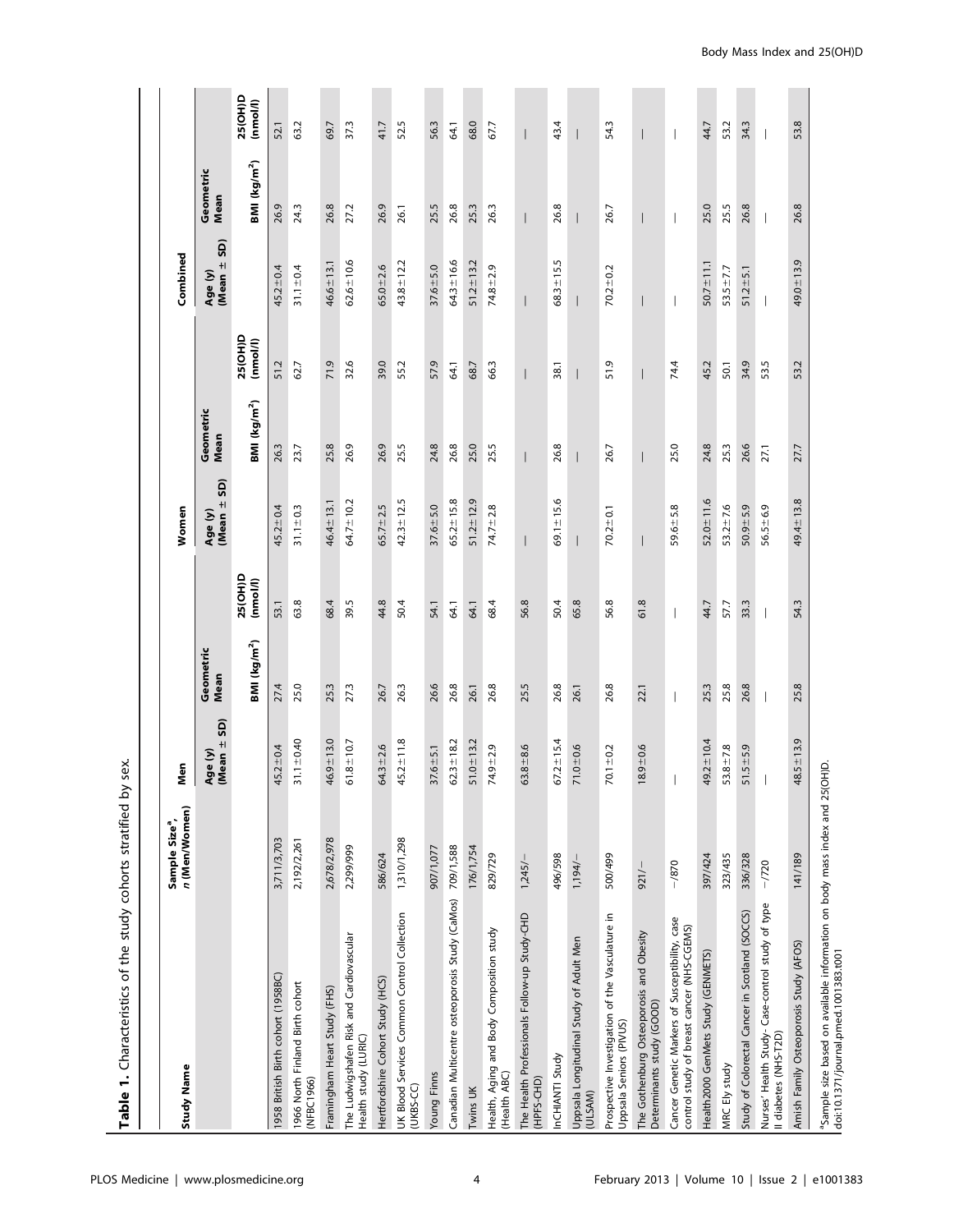Table 1. Characteristics of the study cohorts stratified by sex. Table 1. Characteristics of the study cohorts stratified by sex.

|                                                                                                                      | Sample Size <sup>a</sup> , |                            |                          |                          |                           |                          |                     |                            |                          |                     |
|----------------------------------------------------------------------------------------------------------------------|----------------------------|----------------------------|--------------------------|--------------------------|---------------------------|--------------------------|---------------------|----------------------------|--------------------------|---------------------|
| <b>Study Name</b>                                                                                                    | n (Men/Women)              | Nen                        |                          |                          | Women                     |                          |                     | Combined                   |                          |                     |
|                                                                                                                      |                            | Age (y)<br>(Mean $\pm$ SD) | Geometric<br>Mean        |                          | Ģ<br>Age (y)<br>(Mean ± : | Geometric<br>Mean        |                     | ĝ<br>Age (y)<br>(Mean ± \$ | Geometric<br>Mean        |                     |
|                                                                                                                      |                            |                            | BMI (kg/m <sup>2</sup> ) | 25(OH)D<br>(mmol)        |                           | BMI (kg/m <sup>2</sup> ) | 25(OH)D<br>(nmol/l) |                            | BMI (kg/m <sup>2</sup> ) | 25(OH)D<br>(mmol/l) |
| 1958 British Birth cohort (1958BC)                                                                                   | 3,711/3,703                | $45.2 \pm 0.4$             | 27.4                     | 53.1                     | $45.2 \pm 0.4$            | 26.3                     | 51.2                | $45.2 \pm 0.4$             | 26.9                     | 52.1                |
| 1966 North Finland Birth cohort<br>(NFBC1966)                                                                        | 2,192/2,261                | $31.1 \pm 0.40$            | 25.0                     | 63.8                     | $31.1 \pm 0.3$            | 23.7                     | 62.7                | $31.1 \pm 0.4$             | 24.3                     | 63.2                |
| Framingham Heart Study (FHS)                                                                                         | 2,678/2,978                | $46.9 \pm 13.0$            | 25.3                     | 68.4                     | 46.4 ± 13.1               | 25.8                     | 71.9                | 46.6 ± 13.1                | 26.8                     | 69.7                |
| The Ludwigshafen Risk and Cardiovascular<br>Health study (LURIC)                                                     | 2,299/999                  | $61.8 + 10.7$              | 27.3                     | 39.5                     | 64.7 ± 10.2               | 26.9                     | 32.6                | $62.6 \pm 10.6$            | 27.2                     | 37.3                |
| Hertfordshire Cohort Study (HCS)                                                                                     | 586/624                    | $64.3 \pm 2.6$             | 26.7                     | 44.8                     | $65.7 \pm 2.5$            | 26.9                     | 39.0                | $65.0 + 2.6$               | 26.9                     | 41.7                |
| UK Blood Services Common Control Collection<br>(UKBS-CC)                                                             | 1,310/1,298                | $45.2 \pm 11.8$            | 26.3                     | 50.4                     | $42.3 \pm 12.5$           | 25.5                     | 55.2                | $43.8 + 12.2$              | 26.1                     | 52.5                |
| Young Finns                                                                                                          | 907/1,077                  | $37.6 + 5.1$               | 26.6                     | 54.1                     | $37.6 + 5.0$              | 24.8                     | 57.9                | $37.6 + 5.0$               | 25.5                     | 56.3                |
| Canadian Multicentre osteoporosis Study (CaMos)                                                                      | 709/1,588                  | $62.3 \pm 18.2$            | 26.8                     | 64.1                     | $65.2 \pm 15.8$           | 26.8                     | 64.1                | $64.3 \pm 16.6$            | 26.8                     | 64.1                |
| Twins UK                                                                                                             | 176/1,754                  | $51.0 \pm 13.2$            | 26.1                     | 64.1                     | $51.2 \pm 12.9$           | 25.0                     | 68.7                | $51.2 \pm 13.2$            | 25.3                     | 68.0                |
| Health, Aging and Body Composition study<br>(Health ABC)                                                             | 829/729                    | 74.9 ± 2.9                 | 26.8                     | 68.4                     | 74.7 ± 2.8                | 25.5                     | 66.3                | $74.8 + 2.9$               | 26.3                     | 67.7                |
| The Health Professionals Follow-up Study-CHD<br>(HPFS-CHD)                                                           | $1,245/-$                  | $63.8 + 8.6$               | 25.5                     | 56.8                     |                           |                          |                     | I                          |                          | I                   |
| InCHIANTI Study                                                                                                      | 496/598                    | $57.2 \pm 15.4$            | 26.8                     | 50.4                     | $69.1 \pm 15.6$           | 26.8                     | 38.1                | $68.3 \pm 15.5$            | 26.8                     | 43.4                |
| Uppsala Longitudinal Study of Adult Men<br>(ULSAM)                                                                   | $1,194/-$                  | $71.0 + 0.6$               | 26.1                     | 65.8                     |                           |                          |                     |                            |                          |                     |
| Prospective Investigation of the Vasculature in<br>Uppsala Seniors (PIVUS)                                           | 500/499                    | $70.1 \pm 0.2$             | 26.8                     | 56.8                     | $70.2 + 0.1$              | 26.7                     | 51.9                | $70.2 + 0.2$               | 26.7                     | 54.3                |
| The Gothenburg Osteoporosis and Obesity<br>Determinants study (GOOD)                                                 | $921/-$                    | $18.9 + 0.6$               | 22.1                     | 61.8                     |                           |                          |                     |                            |                          |                     |
| Cancer Genetic Markers of Susceptibility, case<br>control study of breast cancer (NHS-CGEMS)                         | $-870$                     |                            | $\overline{\phantom{a}}$ | $\overline{\phantom{a}}$ | $59.6 + 5.8$              | 25.0                     | 74.4                | $\overline{\phantom{a}}$   | $\overline{\phantom{a}}$ |                     |
| Health2000 GenMets Study (GENMETS)                                                                                   | 397/424                    | 49.2 $\pm$ 10.4            | 25.3                     | 44.7                     | $52.0 + 11.6$             | 24.8                     | 45.2                | $50.7 \pm 11.1$            | 25.0                     | 44.7                |
| MRC Ely study                                                                                                        | 323/435                    | $53.8 + 7.8$               | 25.8                     | 57.7                     | $53.2 \pm 7.6$            | 25.3                     | 50.1                | $53.5 \pm 7.7$             | 25.5                     | 53.2                |
| Study of Colorectal Cancer in Scotland (SOCCS)                                                                       | 336/328                    | $51.5 + 5.9$               | 26.8                     | 33.3                     | $50.9 + 5.9$              | 26.6                     | 34.9                | $51.2 \pm 5.1$             | 26.8                     | 34.3                |
| Nurses' Health Study- Case-control study of type<br>II diabetes (NHS-T2D)                                            | $-7720$                    |                            |                          |                          | $56.5 + 6.9$              | 27.1                     | 53.5                | $\overline{\phantom{a}}$   | $\overline{1}$           |                     |
| Amish Family Osteoporosis Study (AFOS)                                                                               | 141/189                    | $48.5 \pm 13.9$            | 25.8                     | 54.3                     | 49.4±13.8                 | 27.7                     | 53.2                | 49.0 ± 13.9                | 26.8                     | 53.8                |
| aSample size based on available information on body mass index and 25(OH)D.<br>doi:10.1371/journal.pmed.1001383.t001 |                            |                            |                          |                          |                           |                          |                     |                            |                          |                     |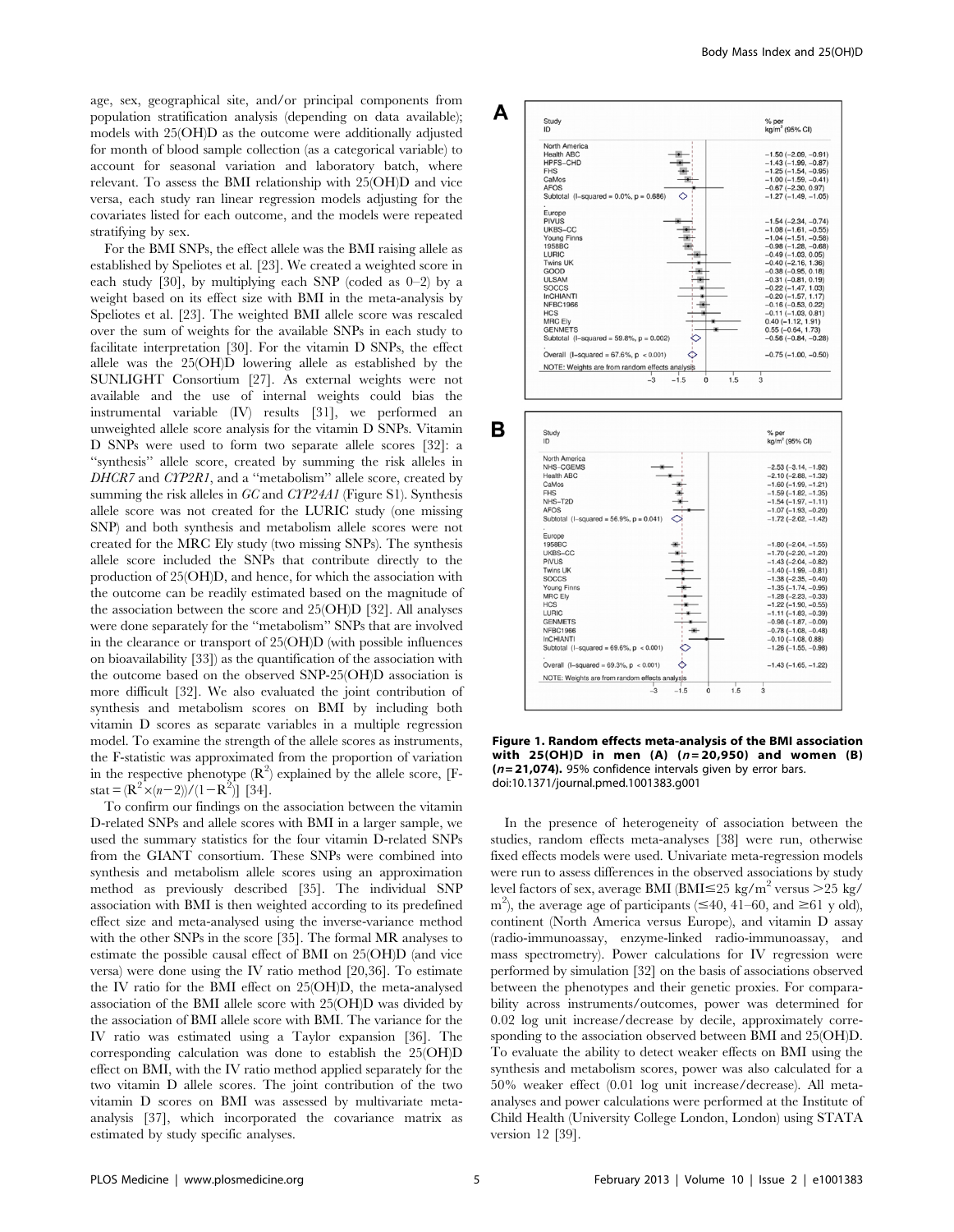age, sex, geographical site, and/or principal components from population stratification analysis (depending on data available); models with 25(OH)D as the outcome were additionally adjusted for month of blood sample collection (as a categorical variable) to account for seasonal variation and laboratory batch, where relevant. To assess the BMI relationship with 25(OH)D and vice versa, each study ran linear regression models adjusting for the covariates listed for each outcome, and the models were repeated stratifying by sex.

For the BMI SNPs, the effect allele was the BMI raising allele as established by Speliotes et al. [23]. We created a weighted score in each study [30], by multiplying each SNP (coded as  $0-2$ ) by a weight based on its effect size with BMI in the meta-analysis by Speliotes et al. [23]. The weighted BMI allele score was rescaled over the sum of weights for the available SNPs in each study to facilitate interpretation [30]. For the vitamin D SNPs, the effect allele was the 25(OH)D lowering allele as established by the SUNLIGHT Consortium [27]. As external weights were not available and the use of internal weights could bias the instrumental variable (IV) results [31], we performed an unweighted allele score analysis for the vitamin D SNPs. Vitamin D SNPs were used to form two separate allele scores [32]: a ''synthesis'' allele score, created by summing the risk alleles in DHCR7 and CYP2R1, and a "metabolism" allele score, created by summing the risk alleles in GC and CYP24A1 (Figure S1). Synthesis allele score was not created for the LURIC study (one missing SNP) and both synthesis and metabolism allele scores were not created for the MRC Ely study (two missing SNPs). The synthesis allele score included the SNPs that contribute directly to the production of 25(OH)D, and hence, for which the association with the outcome can be readily estimated based on the magnitude of the association between the score and 25(OH)D [32]. All analyses were done separately for the ''metabolism'' SNPs that are involved in the clearance or transport of 25(OH)D (with possible influences on bioavailability [33]) as the quantification of the association with the outcome based on the observed SNP-25(OH)D association is more difficult [32]. We also evaluated the joint contribution of synthesis and metabolism scores on BMI by including both vitamin D scores as separate variables in a multiple regression model. To examine the strength of the allele scores as instruments, the F-statistic was approximated from the proportion of variation in the respective phenotype  $(\mathbb{R}^2)$  explained by the allele score, [Fstat =  $(\mathbb{R}^2 \times (n-2))/(1-\mathbb{R}^2)$ ] [34].

To confirm our findings on the association between the vitamin D-related SNPs and allele scores with BMI in a larger sample, we used the summary statistics for the four vitamin D-related SNPs from the GIANT consortium. These SNPs were combined into synthesis and metabolism allele scores using an approximation method as previously described [35]. The individual SNP association with BMI is then weighted according to its predefined effect size and meta-analysed using the inverse-variance method with the other SNPs in the score [35]. The formal MR analyses to estimate the possible causal effect of BMI on 25(OH)D (and vice versa) were done using the IV ratio method [20,36]. To estimate the IV ratio for the BMI effect on 25(OH)D, the meta-analysed association of the BMI allele score with 25(OH)D was divided by the association of BMI allele score with BMI. The variance for the IV ratio was estimated using a Taylor expansion [36]. The corresponding calculation was done to establish the 25(OH)D effect on BMI, with the IV ratio method applied separately for the two vitamin D allele scores. The joint contribution of the two vitamin D scores on BMI was assessed by multivariate metaanalysis [37], which incorporated the covariance matrix as estimated by study specific analyses.



Figure 1. Random effects meta-analysis of the BMI association with 25(OH)D in men (A)  $(n=20,950)$  and women (B)  $(n = 21.074)$ . 95% confidence intervals given by error bars. doi:10.1371/journal.pmed.1001383.g001

In the presence of heterogeneity of association between the studies, random effects meta-analyses [38] were run, otherwise fixed effects models were used. Univariate meta-regression models were run to assess differences in the observed associations by study level factors of sex, average BMI (BMI $\leq$ 25 kg/m<sup>2</sup> versus  $>$ 25 kg/ m<sup>2</sup>), the average age of participants ( $\leq$ 40, 41–60, and  $\geq$ 61 y old), continent (North America versus Europe), and vitamin D assay (radio-immunoassay, enzyme-linked radio-immunoassay, and mass spectrometry). Power calculations for IV regression were performed by simulation [32] on the basis of associations observed between the phenotypes and their genetic proxies. For comparability across instruments/outcomes, power was determined for 0.02 log unit increase/decrease by decile, approximately corresponding to the association observed between BMI and 25(OH)D. To evaluate the ability to detect weaker effects on BMI using the synthesis and metabolism scores, power was also calculated for a 50% weaker effect (0.01 log unit increase/decrease). All metaanalyses and power calculations were performed at the Institute of Child Health (University College London, London) using STATA version 12 [39].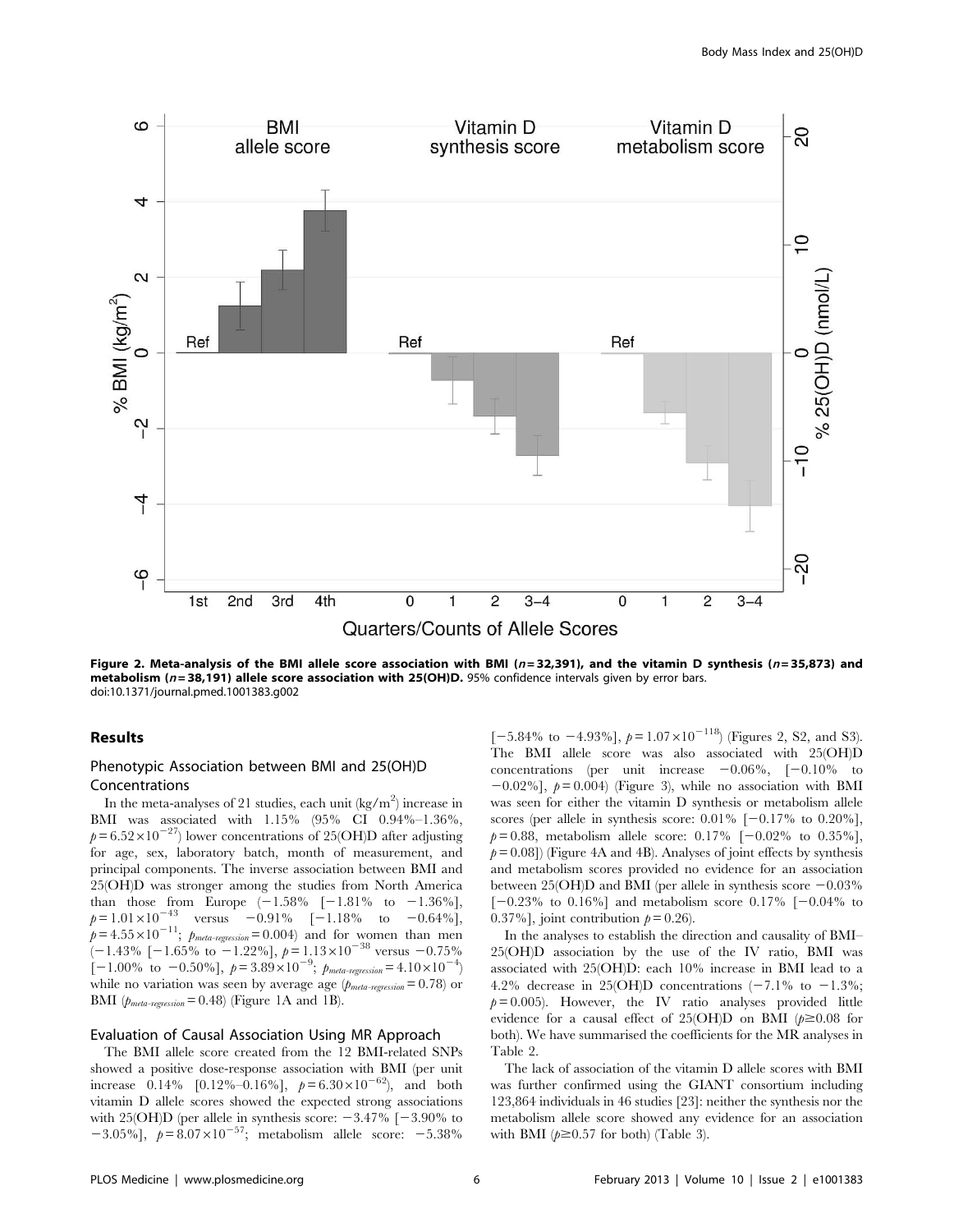

Figure 2. Meta-analysis of the BMI allele score association with BMI ( $n=32,391$ ), and the vitamin D synthesis ( $n=35,873$ ) and metabolism ( $n = 38,191$ ) allele score association with 25(OH)D. 95% confidence intervals given by error bars. doi:10.1371/journal.pmed.1001383.g002

## Results

# Phenotypic Association between BMI and 25(OH)D Concentrations

In the meta-analyses of 21 studies, each unit  $\frac{\text{kg}}{m^2}$  increase in BMI was associated with 1.15% (95% CI 0.94%–1.36%,  $p = 6.52 \times 10^{-27}$  lower concentrations of 25(OH)D after adjusting for age, sex, laboratory batch, month of measurement, and principal components. The inverse association between BMI and 25(OH)D was stronger among the studies from North America than those from Europe  $(-1.58\%$   $[-1.81\%$  to  $-1.36\%]$ ,  $p = 1.01 \times 10^{-43}$  versus  $-0.91\%$  [-1.18% to -0.64%],  $p = 4.55 \times 10^{-11}$ ;  $p_{meta-regression} = 0.004$  and for women than men  $(-1.43\%$  [-1.65% to -1.22%],  $p = 1.13 \times 10^{-38}$  versus -0.75%  $[-1.00\% \text{ to } -0.50\%], p= 3.89 \times 10^{-9}; p_{meta-regression} = 4.10 \times 10^{-4}$ while no variation was seen by average age  $(p_{meta-regression} = 0.78)$  or BMI ( $p_{meta-regression} = 0.48$ ) (Figure 1A and 1B).

## Evaluation of Causal Association Using MR Approach

The BMI allele score created from the 12 BMI-related SNPs showed a positive dose-response association with BMI (per unit increase 0.14% [0.12%–0.16%],  $p = 6.30 \times 10^{-62}$ , and both vitamin D allele scores showed the expected strong associations with 25(OH)D (per allele in synthesis score:  $-3.47\%$  [ $-3.90\%$  to  $-3.05\%$ ],  $p= 8.07\times10^{-57}$ ; metabolism allele score:  $-5.38\%$ 

 $[-5.84\% \text{ to } -4.93\%]$ ,  $p= 1.07\times10^{-118}$  (Figures 2, S2, and S3). The BMI allele score was also associated with 25(OH)D concentrations (per unit increase  $-0.06\%$ ,  $[-0.10\%$  to  $-0.02\%$ ],  $p = 0.004$  (Figure 3), while no association with BMI was seen for either the vitamin D synthesis or metabolism allele scores (per allele in synthesis score:  $0.01\%$  [ $-0.17\%$  to  $0.20\%$ ],  $p= 0.88$ , metabolism allele score: 0.17% [ $-0.02\%$  to 0.35%],  $p= 0.08$ ]) (Figure 4A and 4B). Analyses of joint effects by synthesis and metabolism scores provided no evidence for an association between 25(OH)D and BMI (per allele in synthesis score  $-0.03\%$  $[-0.23\% \text{ to } 0.16\%]$  and metabolism score 0.17%  $[-0.04\% \text{ to } 0.04\%]$ 0.37%], joint contribution  $p = 0.26$ .

In the analyses to establish the direction and causality of BMI– 25(OH)D association by the use of the IV ratio, BMI was associated with 25(OH)D: each 10% increase in BMI lead to a 4.2% decrease in 25(OH)D concentrations  $(-7.1\% \text{ to } -1.3\%);$  $p= 0.005$ ). However, the IV ratio analyses provided little evidence for a causal effect of 25(OH)D on BMI ( $p \ge 0.08$  for both). We have summarised the coefficients for the MR analyses in Table 2.

The lack of association of the vitamin D allele scores with BMI was further confirmed using the GIANT consortium including 123,864 individuals in 46 studies [23]: neither the synthesis nor the metabolism allele score showed any evidence for an association with BMI ( $p \ge 0.57$  for both) (Table 3).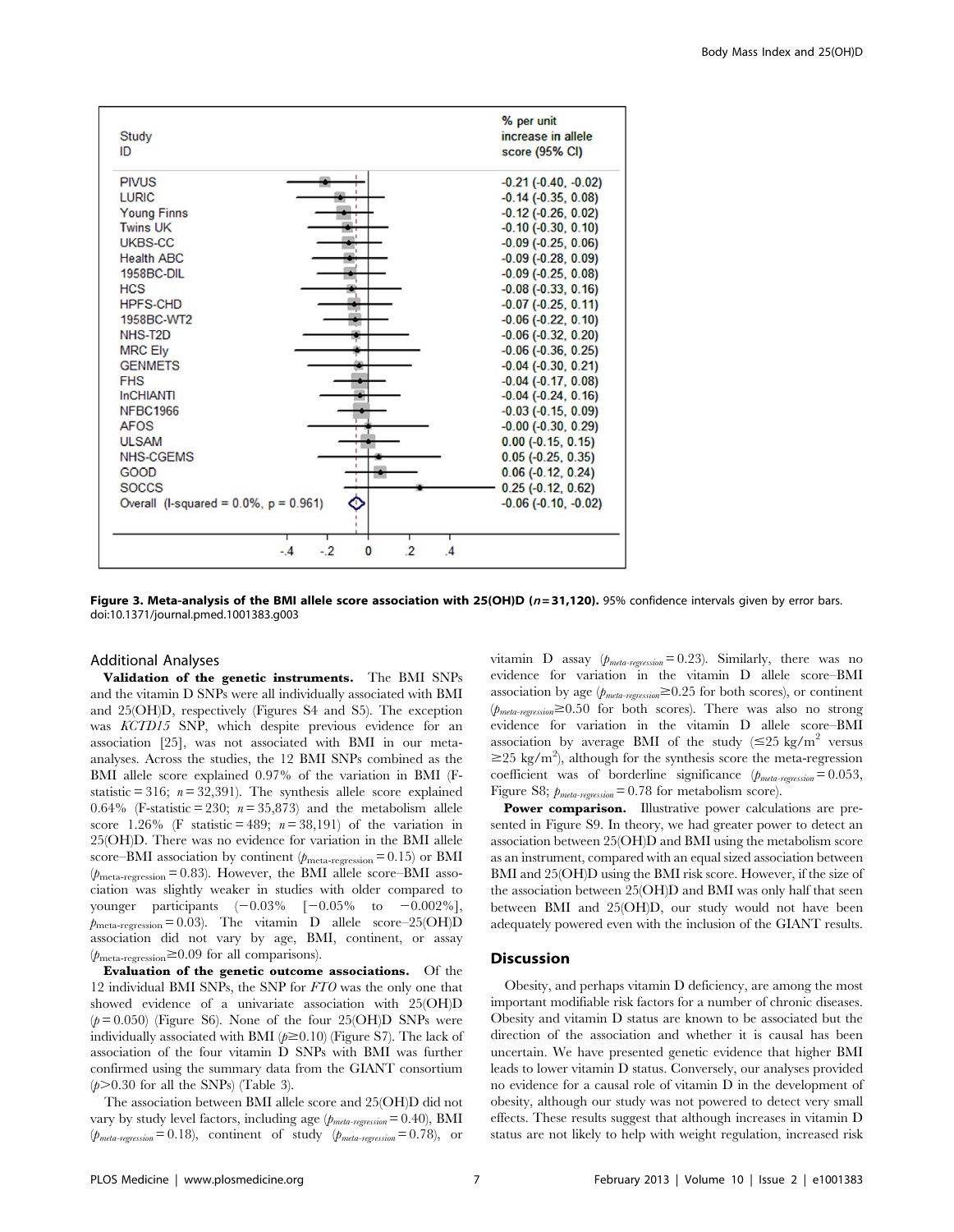| <b>Study</b><br>ID                                | % per unit<br>increase in allele<br>score (95% CI) |
|---------------------------------------------------|----------------------------------------------------|
| <b>PIVUS</b>                                      | $-0.21$ $(-0.40, -0.02)$                           |
| <b>LURIC</b>                                      | $-0.14$ $(-0.35, 0.08)$                            |
| <b>Young Finns</b>                                | $-0.12$ $(-0.26, 0.02)$                            |
| <b>Twins UK</b>                                   | $-0.10(-0.30, 0.10)$                               |
| UKBS-CC                                           | $-0.09$ $(-0.25, 0.06)$                            |
| <b>Health ABC</b>                                 | $-0.09$ $(-0.28, 0.09)$                            |
| <b>1958BC-DIL</b>                                 | $-0.09$ $(-0.25, 0.08)$                            |
| <b>HCS</b>                                        | $-0.08$ $(-0.33, 0.16)$                            |
| <b>HPFS-CHD</b>                                   | $-0.07$ $(-0.25, 0.11)$                            |
| 1958BC-WT2                                        | $-0.06$ $(-0.22, 0.10)$                            |
| NHS-T2D                                           | $-0.06(-0.32, 0.20)$                               |
| <b>MRC Elv</b>                                    | $-0.06$ $(-0.36, 0.25)$                            |
| <b>GENMETS</b>                                    | $-0.04$ $(-0.30, 0.21)$                            |
| <b>FHS</b>                                        | $-0.04$ $(-0.17, 0.08)$                            |
| <b>InCHIANTI</b>                                  | $-0.04$ $(-0.24, 0.16)$                            |
| <b>NFBC1966</b>                                   | $-0.03$ $(-0.15, 0.09)$                            |
| <b>AFOS</b>                                       | $-0.00$ $(-0.30, 0.29)$                            |
| <b>ULSAM</b>                                      | $0.00$ (-0.15, 0.15)                               |
| NHS-CGEMS                                         | $0.05$ ( $-0.25$ , $0.35$ )                        |
| GOOD                                              | $0.06(-0.12, 0.24)$                                |
| <b>SOCCS</b>                                      | $0.25(-0.12, 0.62)$                                |
| ↶<br>Overall (I-squared = $0.0\%$ , $p = 0.961$ ) | $-0.06$ $(-0.10, -0.02)$                           |
|                                                   |                                                    |
|                                                   |                                                    |
| $\overline{2}$<br>$-2$<br>- 4<br>0                |                                                    |

Figure 3. Meta-analysis of the BMI allele score association with 25(OH)D (n=31,120). 95% confidence intervals given by error bars. doi:10.1371/journal.pmed.1001383.g003

## Additional Analyses

Validation of the genetic instruments. The BMI SNPs and the vitamin D SNPs were all individually associated with BMI and 25(OH)D, respectively (Figures S4 and S5). The exception was KCTD15 SNP, which despite previous evidence for an association [25], was not associated with BMI in our metaanalyses. Across the studies, the 12 BMI SNPs combined as the BMI allele score explained 0.97% of the variation in BMI (Fstatistic = 316;  $n = 32,391$ . The synthesis allele score explained 0.64% (F-statistic = 230;  $n = 35,873$ ) and the metabolism allele score 1.26% (F statistic = 489;  $n = 38,191$ ) of the variation in 25(OH)D. There was no evidence for variation in the BMI allele score–BMI association by continent ( $p_{\text{meta-regression}} = 0.15$ ) or BMI  $(p_{\text{meta-regression}} = 0.83)$ . However, the BMI allele score–BMI association was slightly weaker in studies with older compared to younger participants  $(-0.03\% - [-0.05\% \text{ to } -0.002\%],$  $p_{\text{meta-regression}} = 0.03$ . The vitamin D allele score-25(OH)D association did not vary by age, BMI, continent, or assay  $(p_{\text{meta-regression}} \ge 0.09$  for all comparisons).

Evaluation of the genetic outcome associations. Of the 12 individual BMI SNPs, the SNP for FTO was the only one that showed evidence of a univariate association with 25(OH)D  $(p= 0.050)$  (Figure S6). None of the four 25(OH)D SNPs were individually associated with BMI ( $p \ge 0.10$ ) (Figure S7). The lack of association of the four vitamin D SNPs with BMI was further confirmed using the summary data from the GIANT consortium  $(p>0.30$  for all the SNPs) (Table 3).

The association between BMI allele score and 25(OH)D did not vary by study level factors, including age  $(p_{meta-regression} = 0.40)$ , BMI  $(p_{meta-regression} = 0.18)$ , continent of study  $(p_{meta-regression} = 0.78)$ , or

vitamin D assay  $(p_{meta-regression}= 0.23)$ . Similarly, there was no evidence for variation in the vitamin D allele score–BMI association by age  $(p_{meta-regression} \ge 0.25$  for both scores), or continent  $(p_{meta-regression} \ge 0.50$  for both scores). There was also no strong evidence for variation in the vitamin D allele score–BMI association by average BMI of the study  $(\leq 25 \text{ kg/m}^2 \text{ versus})$  $\geq$ 25 kg/m<sup>2</sup>), although for the synthesis score the meta-regression coefficient was of borderline significance  $(p_{meta-reversion} = 0.053,$ Figure S8;  $p_{meta-regression} = 0.78$  for metabolism score).

Power comparison. Illustrative power calculations are presented in Figure S9. In theory, we had greater power to detect an association between 25(OH)D and BMI using the metabolism score as an instrument, compared with an equal sized association between BMI and 25(OH)D using the BMI risk score. However, if the size of the association between 25(OH)D and BMI was only half that seen between BMI and 25(OH)D, our study would not have been adequately powered even with the inclusion of the GIANT results.

## **Discussion**

Obesity, and perhaps vitamin D deficiency, are among the most important modifiable risk factors for a number of chronic diseases. Obesity and vitamin D status are known to be associated but the direction of the association and whether it is causal has been uncertain. We have presented genetic evidence that higher BMI leads to lower vitamin D status. Conversely, our analyses provided no evidence for a causal role of vitamin D in the development of obesity, although our study was not powered to detect very small effects. These results suggest that although increases in vitamin D status are not likely to help with weight regulation, increased risk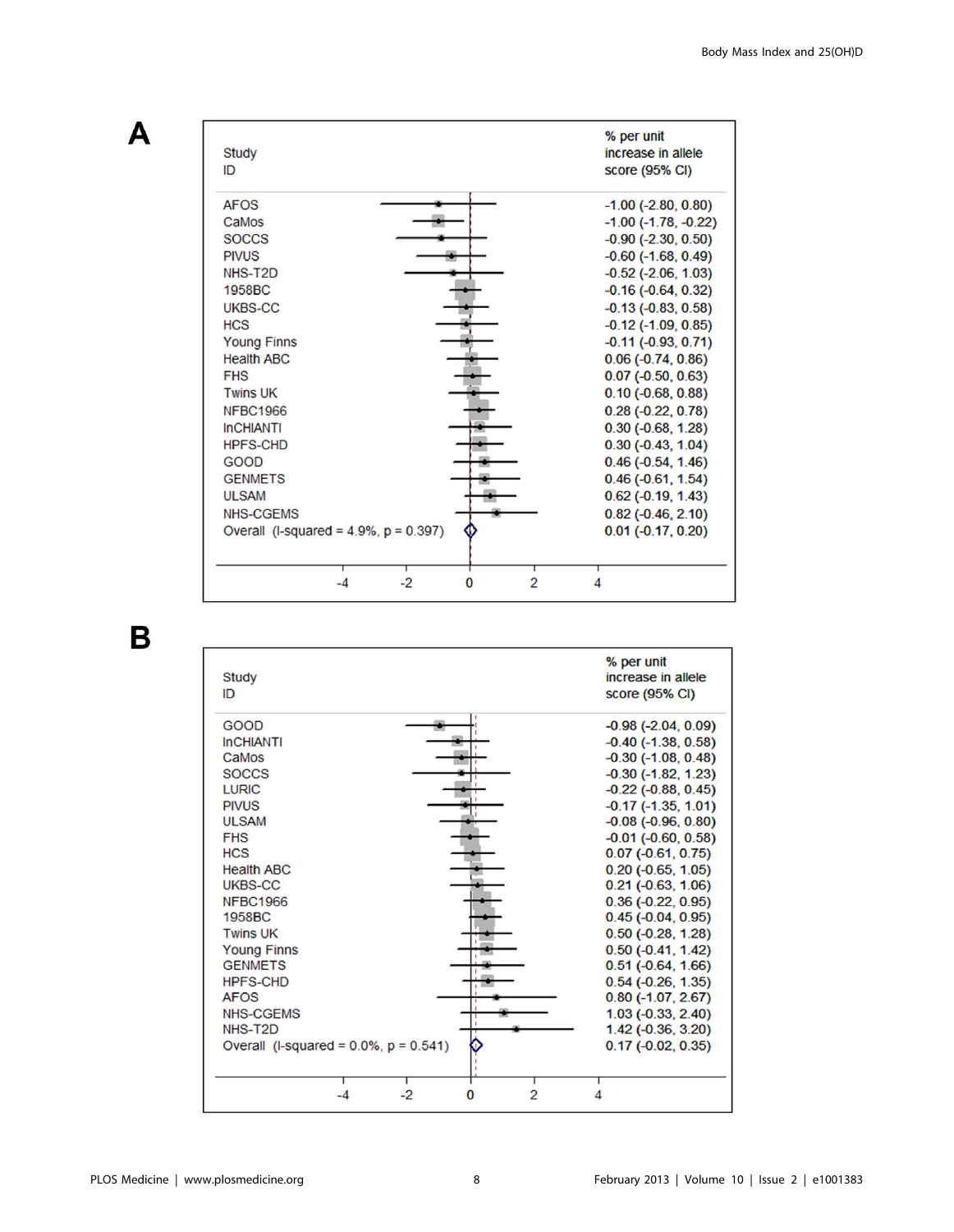| <b>Study</b>                                 | % per unit<br>increase in allele |
|----------------------------------------------|----------------------------------|
| ID                                           | score (95% CI)                   |
| <b>AFOS</b>                                  | $-1.00$ $(-2.80, 0.80)$          |
| CaMos                                        | $-1.00$ $(-1.78, -0.22)$         |
| <b>SOCCS</b>                                 | $-0.90$ $(-2.30, 0.50)$          |
| <b>PIVUS</b>                                 | $-0.60$ $(-1.68, 0.49)$          |
| NHS-T <sub>2</sub> D                         | $-0.52$ $(-2.06, 1.03)$          |
| 1958BC                                       | $-0.16(-0.64, 0.32)$             |
| UKBS-CC                                      | $-0.13(-0.83, 0.58)$             |
| <b>HCS</b>                                   | $-0.12$ $(-1.09, 0.85)$          |
| <b>Young Finns</b>                           | $-0.11(-0.93, 0.71)$             |
| <b>Health ABC</b>                            | $0.06(-0.74, 0.86)$              |
| <b>FHS</b>                                   | $0.07$ (-0.50, 0.63)             |
| <b>Twins UK</b>                              | $0.10 (-0.68, 0.88)$             |
| <b>NFBC1966</b>                              | $0.28(-0.22, 0.78)$              |
| <b>InCHIANTI</b>                             | $0.30 (-0.68, 1.28)$             |
| <b>HPFS-CHD</b>                              | $0.30 (-0.43, 1.04)$             |
| <b>GOOD</b>                                  | $0.46$ ( $-0.54$ , 1.46)         |
| <b>GENMETS</b>                               | $0.46$ (-0.61, 1.54)             |
| <b>ULSAM</b>                                 | $0.62$ (-0.19, 1.43)             |
| NHS-CGEMS                                    | $0.82$ (-0.46, 2.10)             |
| Overall (I-squared = $4.9\%$ , $p = 0.397$ ) | $0.01 (-0.17, 0.20)$             |
|                                              |                                  |
| $-2$                                         | $\overline{c}$<br>$\Omega$       |

 $\overline{\mathsf{B}}$ 

 $\mathbf{A}$ 

| Study                                        | % per unit<br>increase in allele |
|----------------------------------------------|----------------------------------|
| ID                                           | score (95% CI)                   |
| <b>GOOD</b>                                  | $-0.98(-2.04, 0.09)$             |
| <b>InCHIANTI</b>                             | $-0.40$ ( $-1.38$ , $0.58$ )     |
| CaMos                                        | $-0.30$ $(-1.08, 0.48)$          |
| <b>SOCCS</b>                                 | $-0.30$ $(-1.82, 1.23)$          |
| <b>LURIC</b>                                 | $-0.22$ $(-0.88, 0.45)$          |
| <b>PIVUS</b>                                 | $-0.17$ $(-1.35, 1.01)$          |
| <b>ULSAM</b>                                 | $-0.08$ $(-0.96, 0.80)$          |
| <b>FHS</b>                                   | $-0.01$ $(-0.60, 0.58)$          |
| <b>HCS</b>                                   | $0.07 (-0.61, 0.75)$             |
| <b>Health ABC</b>                            | $0.20$ (-0.65, 1.05)             |
| UKBS-CC                                      | $0.21 (-0.63, 1.06)$             |
| <b>NFBC1966</b>                              | $0.36(-0.22, 0.95)$              |
| 1958BC                                       | $0.45(-0.04, 0.95)$              |
| <b>Twins UK</b>                              | $0.50(-0.28, 1.28)$              |
| <b>Young Finns</b>                           | $0.50(-0.41, 1.42)$              |
| <b>GENMETS</b>                               | $0.51(-0.64, 1.66)$              |
| <b>HPFS-CHD</b>                              | $0.54 (-0.26, 1.35)$             |
| <b>AFOS</b>                                  | $0.80(-1.07, 2.67)$              |
| NHS-CGEMS                                    | $1.03(-0.33, 2.40)$              |
| NHS-T2D                                      | $1.42$ (-0.36, 3.20)             |
| Overall (I-squared = $0.0\%$ , $p = 0.541$ ) | $0.17 (-0.02, 0.35)$             |
|                                              |                                  |
| $-2$                                         | $\overline{2}$                   |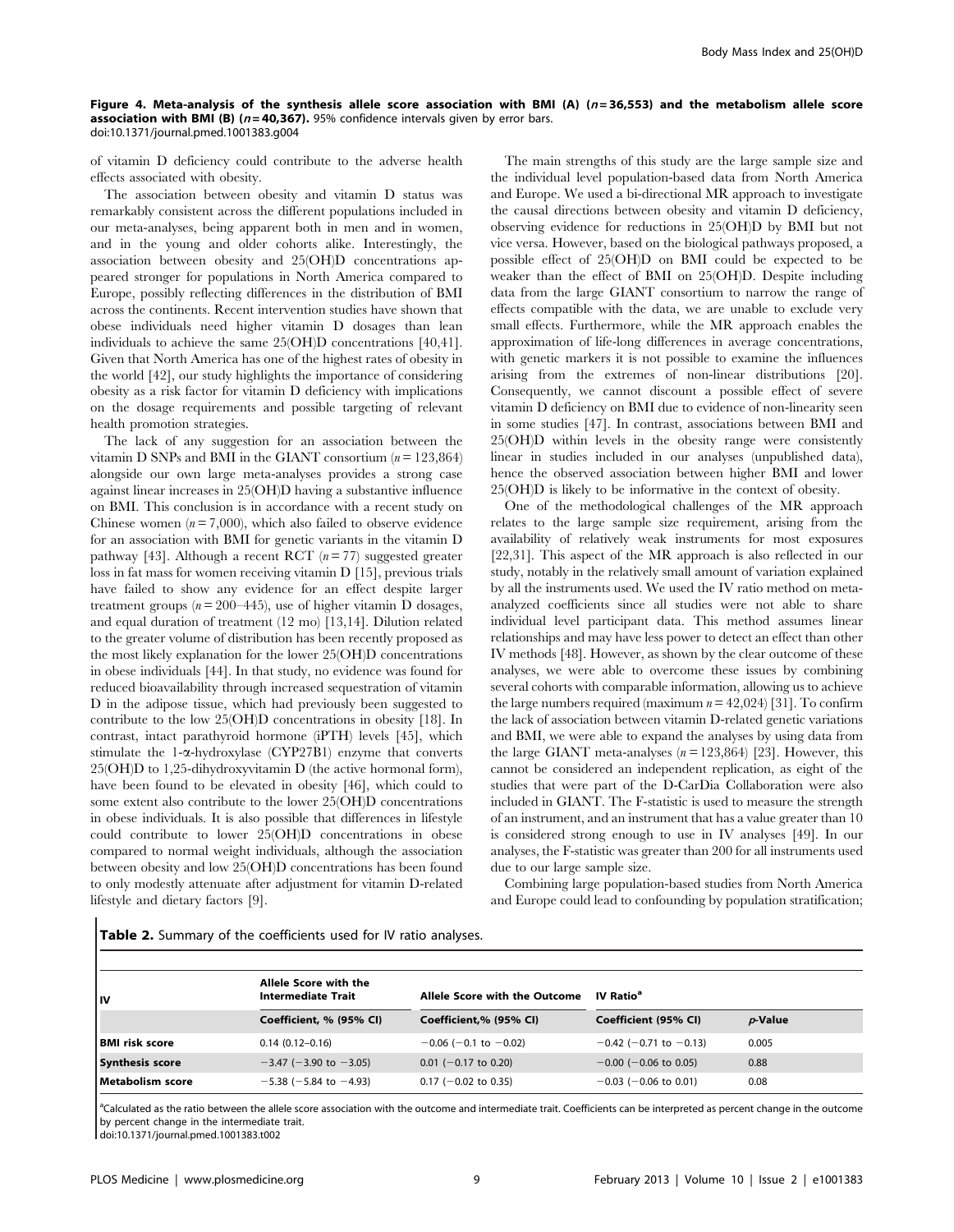#### Figure 4. Meta-analysis of the synthesis allele score association with BMI (A)  $(n=36,553)$  and the metabolism allele score association with BMI (B) ( $n = 40,367$ ). 95% confidence intervals given by error bars. doi:10.1371/journal.pmed.1001383.g004

of vitamin D deficiency could contribute to the adverse health effects associated with obesity.

The association between obesity and vitamin D status was remarkably consistent across the different populations included in our meta-analyses, being apparent both in men and in women, and in the young and older cohorts alike. Interestingly, the association between obesity and 25(OH)D concentrations appeared stronger for populations in North America compared to Europe, possibly reflecting differences in the distribution of BMI across the continents. Recent intervention studies have shown that obese individuals need higher vitamin D dosages than lean individuals to achieve the same 25(OH)D concentrations [40,41]. Given that North America has one of the highest rates of obesity in the world [42], our study highlights the importance of considering obesity as a risk factor for vitamin D deficiency with implications on the dosage requirements and possible targeting of relevant health promotion strategies.

The lack of any suggestion for an association between the vitamin D SNPs and BMI in the GIANT consortium  $(n = 123,864)$ alongside our own large meta-analyses provides a strong case against linear increases in 25(OH)D having a substantive influence on BMI. This conclusion is in accordance with a recent study on Chinese women  $(n = 7,000)$ , which also failed to observe evidence for an association with BMI for genetic variants in the vitamin D pathway [43]. Although a recent RCT  $(n=77)$  suggested greater loss in fat mass for women receiving vitamin D [15], previous trials have failed to show any evidence for an effect despite larger treatment groups ( $n = 200-445$ ), use of higher vitamin D dosages, and equal duration of treatment (12 mo) [13,14]. Dilution related to the greater volume of distribution has been recently proposed as the most likely explanation for the lower 25(OH)D concentrations in obese individuals [44]. In that study, no evidence was found for reduced bioavailability through increased sequestration of vitamin D in the adipose tissue, which had previously been suggested to contribute to the low 25(OH)D concentrations in obesity [18]. In contrast, intact parathyroid hormone (iPTH) levels [45], which stimulate the 1-x-hydroxylase (CYP27B1) enzyme that converts 25(OH)D to 1,25-dihydroxyvitamin D (the active hormonal form), have been found to be elevated in obesity [46], which could to some extent also contribute to the lower 25(OH)D concentrations in obese individuals. It is also possible that differences in lifestyle could contribute to lower 25(OH)D concentrations in obese compared to normal weight individuals, although the association between obesity and low 25(OH)D concentrations has been found to only modestly attenuate after adjustment for vitamin D-related lifestyle and dietary factors [9].

The main strengths of this study are the large sample size and the individual level population-based data from North America and Europe. We used a bi-directional MR approach to investigate the causal directions between obesity and vitamin D deficiency, observing evidence for reductions in 25(OH)D by BMI but not vice versa. However, based on the biological pathways proposed, a possible effect of 25(OH)D on BMI could be expected to be weaker than the effect of BMI on 25(OH)D. Despite including data from the large GIANT consortium to narrow the range of effects compatible with the data, we are unable to exclude very small effects. Furthermore, while the MR approach enables the approximation of life-long differences in average concentrations, with genetic markers it is not possible to examine the influences arising from the extremes of non-linear distributions [20]. Consequently, we cannot discount a possible effect of severe vitamin D deficiency on BMI due to evidence of non-linearity seen in some studies [47]. In contrast, associations between BMI and 25(OH)D within levels in the obesity range were consistently linear in studies included in our analyses (unpublished data), hence the observed association between higher BMI and lower 25(OH)D is likely to be informative in the context of obesity.

One of the methodological challenges of the MR approach relates to the large sample size requirement, arising from the availability of relatively weak instruments for most exposures [22,31]. This aspect of the MR approach is also reflected in our study, notably in the relatively small amount of variation explained by all the instruments used. We used the IV ratio method on metaanalyzed coefficients since all studies were not able to share individual level participant data. This method assumes linear relationships and may have less power to detect an effect than other IV methods [48]. However, as shown by the clear outcome of these analyses, we were able to overcome these issues by combining several cohorts with comparable information, allowing us to achieve the large numbers required (maximum  $n = 42,024$ ) [31]. To confirm the lack of association between vitamin D-related genetic variations and BMI, we were able to expand the analyses by using data from the large GIANT meta-analyses  $(n = 123,864)$  [23]. However, this cannot be considered an independent replication, as eight of the studies that were part of the D-CarDia Collaboration were also included in GIANT. The F-statistic is used to measure the strength of an instrument, and an instrument that has a value greater than 10 is considered strong enough to use in IV analyses [49]. In our analyses, the F-statistic was greater than 200 for all instruments used due to our large sample size.

Combining large population-based studies from North America and Europe could lead to confounding by population stratification;

Table 2. Summary of the coefficients used for IV ratio analyses.

| lıv                    | Allele Score with the<br>Intermediate Trait | Allele Score with the Outcome | <b>IV Ratio<sup>a</sup></b> |            |
|------------------------|---------------------------------------------|-------------------------------|-----------------------------|------------|
|                        | Coefficient, % (95% CI)                     | Coefficient,% (95% CI)        | Coefficient (95% CI)        | $p$ -Value |
| BMI risk score         | $0.14(0.12 - 0.16)$                         | $-0.06$ (-0.1 to $-0.02$ )    | $-0.42$ (-0.71 to -0.13)    | 0.005      |
| <b>Synthesis score</b> | $-3.47$ (-3.90 to -3.05)                    | $0.01$ (-0.17 to 0.20)        | $-0.00$ ( $-0.06$ to 0.05)  | 0.88       |
| Metabolism score       | $-5.38$ ( $-5.84$ to $-4.93$ )              | $0.17$ (-0.02 to 0.35)        | $-0.03$ ( $-0.06$ to 0.01)  | 0.08       |

<sup>a</sup>Calculated as the ratio between the allele score association with the outcome and intermediate trait. Coefficients can be interpreted as percent change in the outcome by percent change in the intermediate trait.

doi:10.1371/journal.pmed.1001383.t002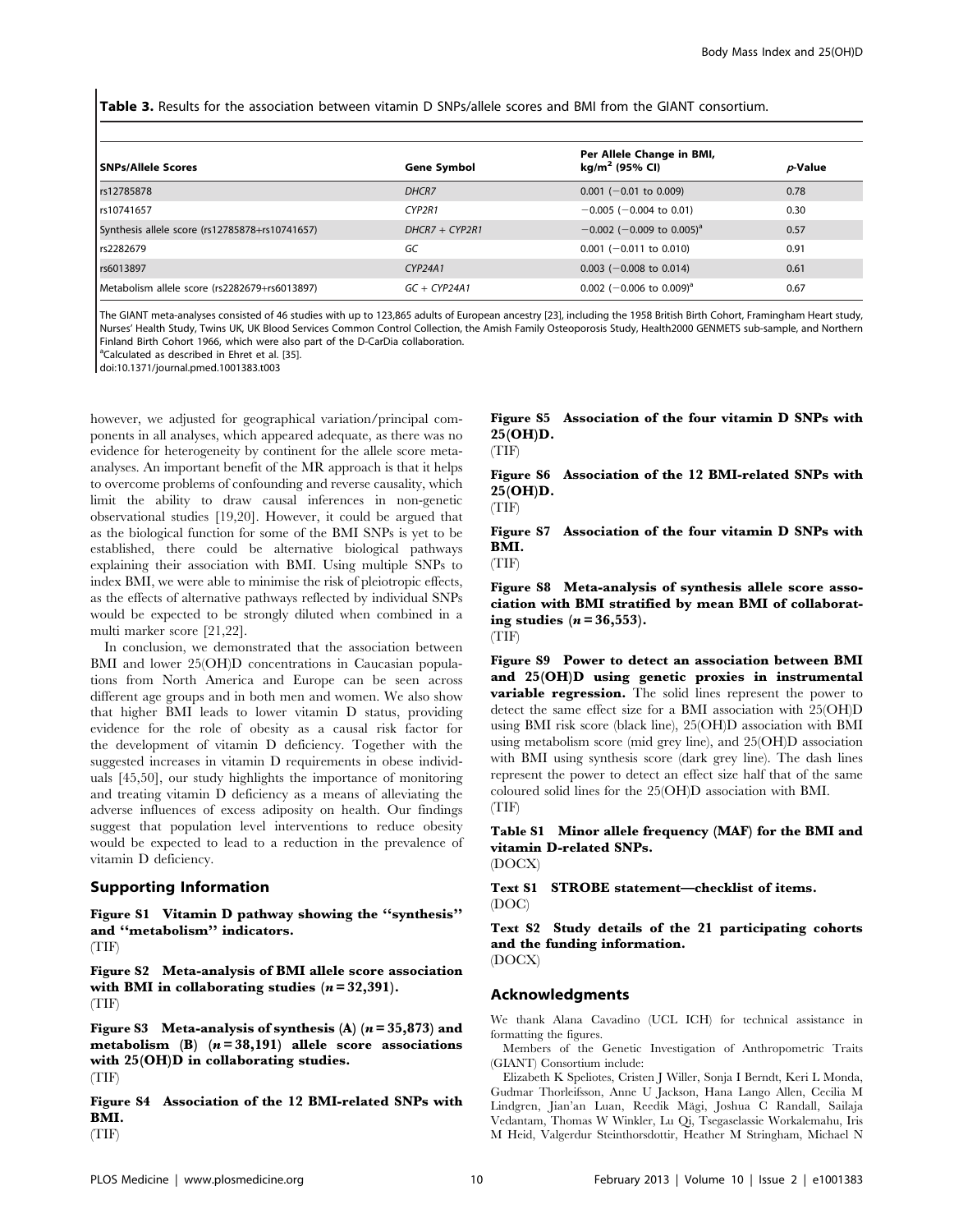Table 3. Results for the association between vitamin D SNPs/allele scores and BMI from the GIANT consortium.

| <b>SNPs/Allele Scores</b>                      | Gene Symbol      | Per Allele Change in BMI,<br>$kg/m2$ (95% CI) | $p$ -Value |
|------------------------------------------------|------------------|-----------------------------------------------|------------|
| rs12785878                                     | <b>DHCR7</b>     | $0.001$ (-0.01 to 0.009)                      | 0.78       |
| rs10741657                                     | CYP2R1           | $-0.005$ ( $-0.004$ to 0.01)                  | 0.30       |
| Synthesis allele score (rs12785878+rs10741657) | $DHCR7 + CYP2R1$ | $-0.002$ (-0.009 to 0.005) <sup>a</sup>       | 0.57       |
| rs2282679                                      | GC               | $0.001$ (-0.011 to 0.010)                     | 0.91       |
| rs6013897                                      | <b>CYP24A1</b>   | $0.003$ (-0.008 to 0.014)                     | 0.61       |
| Metabolism allele score (rs2282679+rs6013897)  | $GC + CYP24A1$   | 0.002 ( $-0.006$ to 0.009) <sup>a</sup>       | 0.67       |

The GIANT meta-analyses consisted of 46 studies with up to 123,865 adults of European ancestry [23], including the 1958 British Birth Cohort, Framingham Heart study, Nurses' Health Study, Twins UK, UK Blood Services Common Control Collection, the Amish Family Osteoporosis Study, Health2000 GENMETS sub-sample, and Northern Finland Birth Cohort 1966, which were also part of the D-CarDia collaboration.

<sup>a</sup>Calculated as described in Ehret et al. [35].

doi:10.1371/journal.pmed.1001383.t003

however, we adjusted for geographical variation/principal components in all analyses, which appeared adequate, as there was no evidence for heterogeneity by continent for the allele score metaanalyses. An important benefit of the MR approach is that it helps to overcome problems of confounding and reverse causality, which limit the ability to draw causal inferences in non-genetic observational studies [19,20]. However, it could be argued that as the biological function for some of the BMI SNPs is yet to be established, there could be alternative biological pathways explaining their association with BMI. Using multiple SNPs to index BMI, we were able to minimise the risk of pleiotropic effects, as the effects of alternative pathways reflected by individual SNPs would be expected to be strongly diluted when combined in a multi marker score [21,22].

In conclusion, we demonstrated that the association between BMI and lower 25(OH)D concentrations in Caucasian populations from North America and Europe can be seen across different age groups and in both men and women. We also show that higher BMI leads to lower vitamin D status, providing evidence for the role of obesity as a causal risk factor for the development of vitamin D deficiency. Together with the suggested increases in vitamin D requirements in obese individuals [45,50], our study highlights the importance of monitoring and treating vitamin D deficiency as a means of alleviating the adverse influences of excess adiposity on health. Our findings suggest that population level interventions to reduce obesity would be expected to lead to a reduction in the prevalence of vitamin D deficiency.

## Supporting Information

Figure S1 Vitamin D pathway showing the ''synthesis'' and ''metabolism'' indicators. (TIF)

Figure S2 Meta-analysis of BMI allele score association with BMI in collaborating studies  $(n=32,391)$ . (TIF)

Figure S3 Meta-analysis of synthesis (A)  $(n = 35,873)$  and metabolism (B)  $(n=38,191)$  allele score associations with 25(OH)D in collaborating studies. (TIF)

Figure S4 Association of the 12 BMI-related SNPs with BMI.

(TIF)

Figure S5 Association of the four vitamin D SNPs with 25(OH)D.

(TIF)

Figure S6 Association of the 12 BMI-related SNPs with 25(OH)D.

(TIF)

Figure S7 Association of the four vitamin D SNPs with BMI.

(TIF)

Figure S8 Meta-analysis of synthesis allele score association with BMI stratified by mean BMI of collaborating studies  $(n = 36, 553)$ . (TIF)

Figure S9 Power to detect an association between BMI and 25(OH)D using genetic proxies in instrumental variable regression. The solid lines represent the power to detect the same effect size for a BMI association with 25(OH)D using BMI risk score (black line), 25(OH)D association with BMI using metabolism score (mid grey line), and 25(OH)D association with BMI using synthesis score (dark grey line). The dash lines represent the power to detect an effect size half that of the same coloured solid lines for the 25(OH)D association with BMI. (TIF)

Table S1 Minor allele frequency (MAF) for the BMI and vitamin D-related SNPs. (DOCX)

Text S1 STROBE statement—checklist of items. (DOC)

Text S2 Study details of the 21 participating cohorts and the funding information. (DOCX)

#### Acknowledgments

We thank Alana Cavadino (UCL ICH) for technical assistance in formatting the figures.

Members of the Genetic Investigation of Anthropometric Traits (GIANT) Consortium include:

Elizabeth K Speliotes, Cristen J Willer, Sonja I Berndt, Keri L Monda, Gudmar Thorleifsson, Anne U Jackson, Hana Lango Allen, Cecilia M Lindgren, Jian'an Luan, Reedik Mägi, Joshua C Randall, Sailaja Vedantam, Thomas W Winkler, Lu Qi, Tsegaselassie Workalemahu, Iris M Heid, Valgerdur Steinthorsdottir, Heather M Stringham, Michael N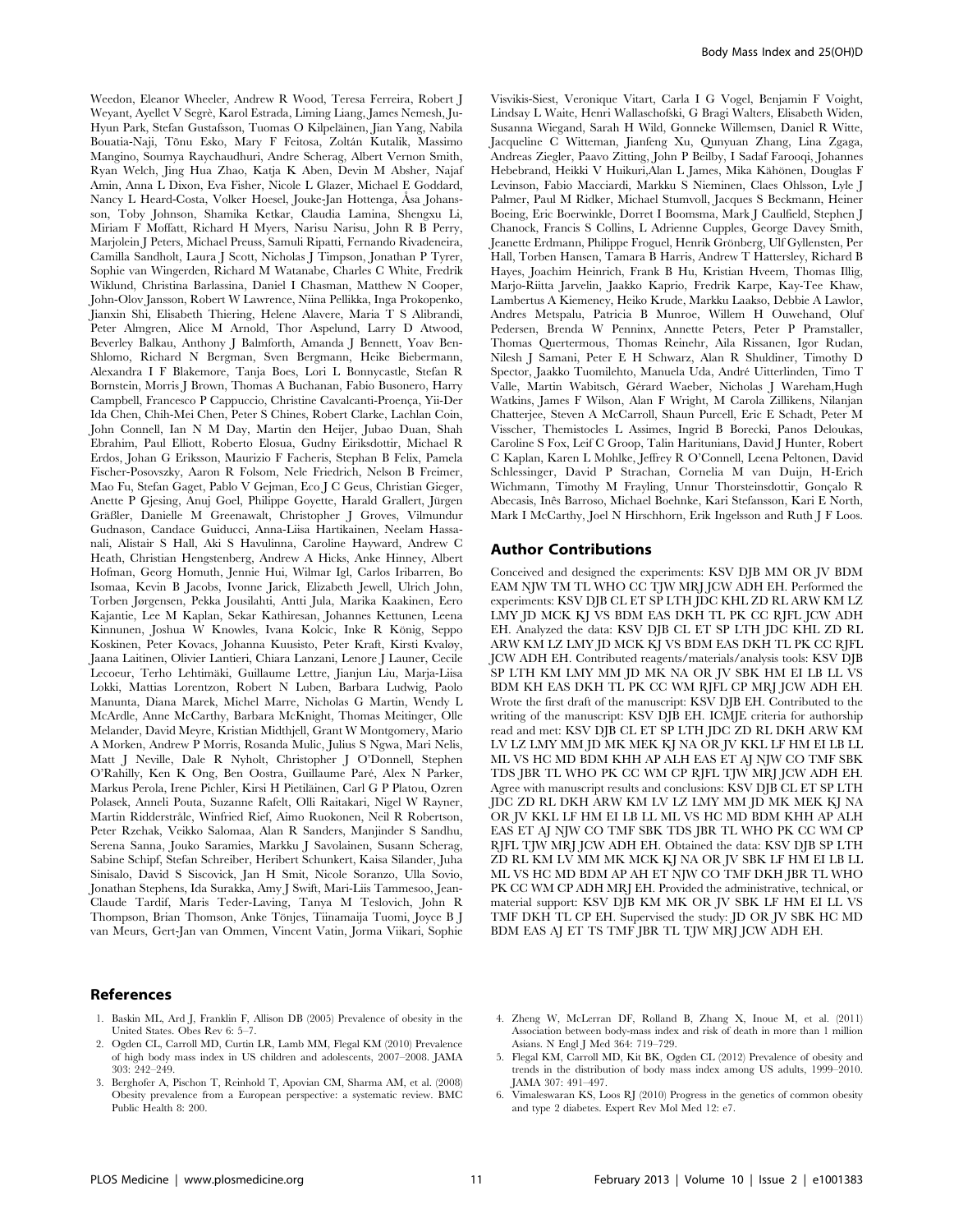Weedon, Eleanor Wheeler, Andrew R Wood, Teresa Ferreira, Robert J Weyant, Ayellet V Segrè, Karol Estrada, Liming Liang, James Nemesh, Ju-Hyun Park, Stefan Gustafsson, Tuomas O Kilpeläinen, Jian Yang, Nabila Bouatia-Naji, Tõnu Esko, Mary F Feitosa, Zoltán Kutalik, Massimo Mangino, Soumya Raychaudhuri, Andre Scherag, Albert Vernon Smith, Ryan Welch, Jing Hua Zhao, Katja K Aben, Devin M Absher, Najaf Amin, Anna L Dixon, Eva Fisher, Nicole L Glazer, Michael E Goddard, Nancy L Heard-Costa, Volker Hoesel, Jouke-Jan Hottenga, Åsa Johansson, Toby Johnson, Shamika Ketkar, Claudia Lamina, Shengxu Li, Miriam F Moffatt, Richard H Myers, Narisu Narisu, John R B Perry, Marjolein J Peters, Michael Preuss, Samuli Ripatti, Fernando Rivadeneira, Camilla Sandholt, Laura J Scott, Nicholas J Timpson, Jonathan P Tyrer, Sophie van Wingerden, Richard M Watanabe, Charles C White, Fredrik Wiklund, Christina Barlassina, Daniel I Chasman, Matthew N Cooper, John-Olov Jansson, Robert W Lawrence, Niina Pellikka, Inga Prokopenko, Jianxin Shi, Elisabeth Thiering, Helene Alavere, Maria T S Alibrandi, Peter Almgren, Alice M Arnold, Thor Aspelund, Larry D Atwood, Beverley Balkau, Anthony J Balmforth, Amanda J Bennett, Yoav Ben-Shlomo, Richard N Bergman, Sven Bergmann, Heike Biebermann, Alexandra I F Blakemore, Tanja Boes, Lori L Bonnycastle, Stefan R Bornstein, Morris J Brown, Thomas A Buchanan, Fabio Busonero, Harry Campbell, Francesco P Cappuccio, Christine Cavalcanti-Proença, Yii-Der Ida Chen, Chih-Mei Chen, Peter S Chines, Robert Clarke, Lachlan Coin, John Connell, Ian N M Day, Martin den Heijer, Jubao Duan, Shah Ebrahim, Paul Elliott, Roberto Elosua, Gudny Eiriksdottir, Michael R Erdos, Johan G Eriksson, Maurizio F Facheris, Stephan B Felix, Pamela Fischer-Posovszky, Aaron R Folsom, Nele Friedrich, Nelson B Freimer, Mao Fu, Stefan Gaget, Pablo V Gejman, Eco J C Geus, Christian Gieger, Anette P Gjesing, Anuj Goel, Philippe Goyette, Harald Grallert, Jürgen Gräßler, Danielle M Greenawalt, Christopher J Groves, Vilmundur Gudnason, Candace Guiducci, Anna-Liisa Hartikainen, Neelam Hassanali, Alistair S Hall, Aki S Havulinna, Caroline Hayward, Andrew C Heath, Christian Hengstenberg, Andrew A Hicks, Anke Hinney, Albert Hofman, Georg Homuth, Jennie Hui, Wilmar Igl, Carlos Iribarren, Bo Isomaa, Kevin B Jacobs, Ivonne Jarick, Elizabeth Jewell, Ulrich John, Torben Jørgensen, Pekka Jousilahti, Antti Jula, Marika Kaakinen, Eero Kajantie, Lee M Kaplan, Sekar Kathiresan, Johannes Kettunen, Leena Kinnunen, Joshua W Knowles, Ivana Kolcic, Inke R König, Seppo Koskinen, Peter Kovacs, Johanna Kuusisto, Peter Kraft, Kirsti Kvaløy, Jaana Laitinen, Olivier Lantieri, Chiara Lanzani, Lenore J Launer, Cecile Lecoeur, Terho Lehtimäki, Guillaume Lettre, Jianjun Liu, Marja-Liisa Lokki, Mattias Lorentzon, Robert N Luben, Barbara Ludwig, Paolo Manunta, Diana Marek, Michel Marre, Nicholas G Martin, Wendy L McArdle, Anne McCarthy, Barbara McKnight, Thomas Meitinger, Olle Melander, David Meyre, Kristian Midthjell, Grant W Montgomery, Mario A Morken, Andrew P Morris, Rosanda Mulic, Julius S Ngwa, Mari Nelis, Matt J Neville, Dale R Nyholt, Christopher J O'Donnell, Stephen O'Rahilly, Ken K Ong, Ben Oostra, Guillaume Paré, Alex N Parker, Markus Perola, Irene Pichler, Kirsi H Pietiläinen, Carl G P Platou, Ozren Polasek, Anneli Pouta, Suzanne Rafelt, Olli Raitakari, Nigel W Rayner, Martin Ridderstråle, Winfried Rief, Aimo Ruokonen, Neil R Robertson, Peter Rzehak, Veikko Salomaa, Alan R Sanders, Manjinder S Sandhu, Serena Sanna, Jouko Saramies, Markku J Savolainen, Susann Scherag, Sabine Schipf, Stefan Schreiber, Heribert Schunkert, Kaisa Silander, Juha Sinisalo, David S Siscovick, Jan H Smit, Nicole Soranzo, Ulla Sovio, Jonathan Stephens, Ida Surakka, Amy J Swift, Mari-Liis Tammesoo, Jean-Claude Tardif, Maris Teder-Laving, Tanya M Teslovich, John R Thompson, Brian Thomson, Anke Tönjes, Tiinamaija Tuomi, Joyce B J van Meurs, Gert-Jan van Ommen, Vincent Vatin, Jorma Viikari, Sophie

Visvikis-Siest, Veronique Vitart, Carla I G Vogel, Benjamin F Voight, Lindsay L Waite, Henri Wallaschofski, G Bragi Walters, Elisabeth Widen, Susanna Wiegand, Sarah H Wild, Gonneke Willemsen, Daniel R Witte, Jacqueline C Witteman, Jianfeng Xu, Qunyuan Zhang, Lina Zgaga, Andreas Ziegler, Paavo Zitting, John P Beilby, I Sadaf Farooqi, Johannes Hebebrand, Heikki V Huikuri, Alan L James, Mika Kähönen, Douglas F Levinson, Fabio Macciardi, Markku S Nieminen, Claes Ohlsson, Lyle J Palmer, Paul M Ridker, Michael Stumvoll, Jacques S Beckmann, Heiner Boeing, Eric Boerwinkle, Dorret I Boomsma, Mark J Caulfield, Stephen J Chanock, Francis S Collins, L Adrienne Cupples, George Davey Smith, Jeanette Erdmann, Philippe Froguel, Henrik Grönberg, Ulf Gyllensten, Per Hall, Torben Hansen, Tamara B Harris, Andrew T Hattersley, Richard B Hayes, Joachim Heinrich, Frank B Hu, Kristian Hveem, Thomas Illig, Marjo-Riitta Jarvelin, Jaakko Kaprio, Fredrik Karpe, Kay-Tee Khaw, Lambertus A Kiemeney, Heiko Krude, Markku Laakso, Debbie A Lawlor, Andres Metspalu, Patricia B Munroe, Willem H Ouwehand, Oluf Pedersen, Brenda W Penninx, Annette Peters, Peter P Pramstaller, Thomas Quertermous, Thomas Reinehr, Aila Rissanen, Igor Rudan, Nilesh J Samani, Peter E H Schwarz, Alan R Shuldiner, Timothy D Spector, Jaakko Tuomilehto, Manuela Uda, André Uitterlinden, Timo T Valle, Martin Wabitsch, Gérard Waeber, Nicholas J Wareham, Hugh Watkins, James F Wilson, Alan F Wright, M Carola Zillikens, Nilanjan Chatterjee, Steven A McCarroll, Shaun Purcell, Eric E Schadt, Peter M Visscher, Themistocles L Assimes, Ingrid B Borecki, Panos Deloukas, Caroline S Fox, Leif C Groop, Talin Haritunians, David J Hunter, Robert C Kaplan, Karen L Mohlke, Jeffrey R O'Connell, Leena Peltonen, David Schlessinger, David P Strachan, Cornelia M van Duijn, H-Erich Wichmann, Timothy M Frayling, Unnur Thorsteinsdottir, Gonçalo R Abecasis, Inês Barroso, Michael Boehnke, Kari Stefansson, Kari E North, Mark I McCarthy, Joel N Hirschhorn, Erik Ingelsson and Ruth J F Loos.

# **Author Contributions**

Conceived and designed the experiments: KSV DJB MM OR JV BDM EAM NJW TM TL WHO CC TJW MRJ JCW ADH EH. Performed the experiments: KSV DJB CL ET SP LTH JDC KHL ZD RL ARW KM LZ LMY JD MCK KJ VS BDM EAS DKH TL PK CC RJFL JCW ADH EH. Analyzed the data: KSV DJB CL ET SP LTH JDC KHL ZD RL ARW KM LZ LMY JD MCK KJ VS BDM EAS DKH TL PK CC RJFL JCW ADH EH. Contributed reagents/materials/analysis tools: KSV DJB SP LTH KM LMY MM JD MK NA OR JV SBK HM EI LB LL VS BDM KH EAS DKH TL PK CC WM RJFL CP MRJ JCW ADH EH. Wrote the first draft of the manuscript: KSV DJB EH. Contributed to the writing of the manuscript: KSV DJB EH. ICMJE criteria for authorship read and met: KSV DJB CL ET SP LTH JDC ZD RL DKH ARW KM LV LZ LMY MM JD MK MEK KJ NA OR JV KKL LF HM EI LB LL ML VS HC MD BDM KHH AP ALH EAS ET AJ NJW CO TMF SBK TDS JBR TL WHO PK CC WM CP RJFL TJW MRJ JCW ADH EH. Agree with manuscript results and conclusions: KSV DJB CL ET SP LTH IDC ZD RL DKH ARW KM LV LZ LMY MM ID MK MEK KJ NA OR JV KKL LF HM EI LB LL ML VS HC MD BDM KHH AP ALH EAS ET AJ NJW CO TMF SBK TDS JBR TL WHO PK CC WM CP RJFL TJW MRJ JCW ADH EH. Obtained the data: KSV DJB SP LTH ZD RL KM LV MM MK MCK KJ NA OR JV SBK LF HM EI LB LL ML VS HC MD BDM AP AH ET NJW CO TMF DKH JBR TL WHO PK CC WM CP ADH MRJ EH. Provided the administrative, technical, or material support: KSV DJB KM MK OR JV SBK LF HM EI LL VS TMF DKH TL CP EH. Supervised the study: JD OR JV SBK HC MD BDM EAS AJ ET TS TMF JBR TL TJW MRJ JCW ADH EH.

# **References**

- 1. Baskin ML, Ard J, Franklin F, Allison DB (2005) Prevalence of obesity in the United States. Obes Rev 6: 5-7.
- 2. Ogden CL, Carroll MD, Curtin LR, Lamb MM, Flegal KM (2010) Prevalence of high body mass index in US children and adolescents, 2007-2008. JAMA  $303.942 - 249$
- 3. Berghofer A, Pischon T, Reinhold T, Apovian CM, Sharma AM, et al. (2008) Obesity prevalence from a European perspective: a systematic review. BMC Public Health 8: 200.
- 4. Zheng W, McLerran DF, Rolland B, Zhang X, Inoue M, et al. (2011) Association between body-mass index and risk of death in more than 1 million Asians. N Engl J Med 364: 719-729.
- 5. Flegal KM, Carroll MD, Kit BK, Ogden CL (2012) Prevalence of obesity and trends in the distribution of body mass index among US adults, 1999-2010. JAMA 307: 491-497.
- 6. Vimaleswaran KS, Loos RJ (2010) Progress in the genetics of common obesity and type 2 diabetes. Expert Rev Mol Med 12: e7.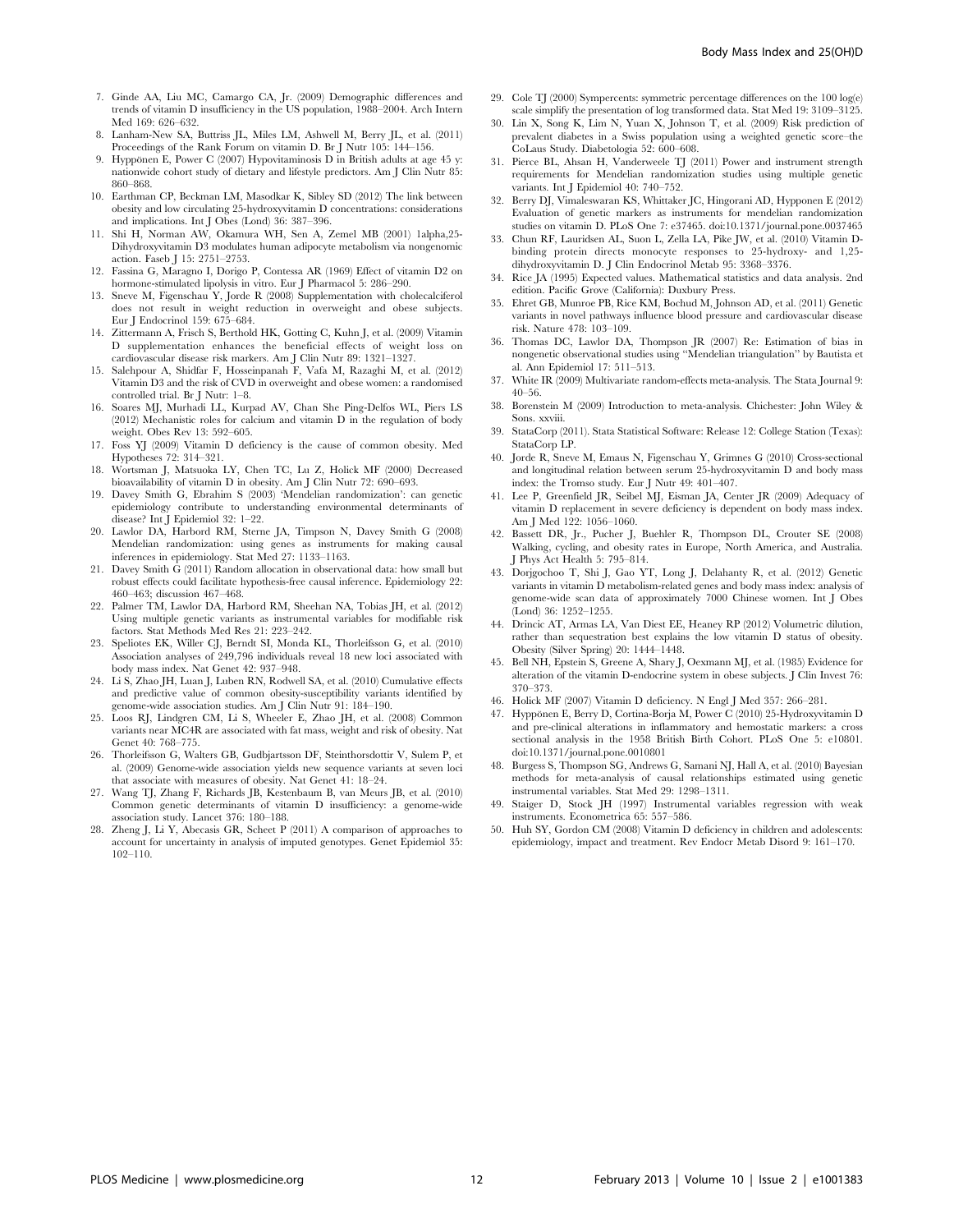- 7. Ginde AA, Liu MC, Camargo CA, Jr. (2009) Demographic differences and trends of vitamin D insufficiency in the US population, 1988–2004. Arch Intern Med 169: 626-632
- 8. Lanham-New SA, Buttriss JL, Miles LM, Ashwell M, Berry JL, et al. (2011) Proceedings of the Rank Forum on vitamin D. Br J Nutr 105: 144–156.
- 9. Hyppönen E, Power C (2007) Hypovitaminosis D in British adults at age 45 y: nationwide cohort study of dietary and lifestyle predictors. Am J Clin Nutr 85: 860–868.
- 10. Earthman CP, Beckman LM, Masodkar K, Sibley SD (2012) The link between obesity and low circulating 25-hydroxyvitamin D concentrations: considerations and implications. Int J Obes (Lond) 36: 387–396.
- 11. Shi H, Norman AW, Okamura WH, Sen A, Zemel MB (2001) 1alpha,25- Dihydroxyvitamin D3 modulates human adipocyte metabolism via nongenomic action. Faseb J 15: 2751–2753.
- 12. Fassina G, Maragno I, Dorigo P, Contessa AR (1969) Effect of vitamin D2 on hormone-stimulated lipolysis in vitro. Eur J Pharmacol 5: 286–290.
- 13. Sneve M, Figenschau Y, Jorde R (2008) Supplementation with cholecalciferol does not result in weight reduction in overweight and obese subjects. Eur J Endocrinol 159: 675–684.
- 14. Zittermann A, Frisch S, Berthold HK, Gotting C, Kuhn J, et al. (2009) Vitamin D supplementation enhances the beneficial effects of weight loss on cardiovascular disease risk markers. Am J Clin Nutr 89: 1321–1327.
- 15. Salehpour A, Shidfar F, Hosseinpanah F, Vafa M, Razaghi M, et al. (2012) Vitamin D3 and the risk of CVD in overweight and obese women: a randomised controlled trial. Br J Nutr: 1–8.
- 16. Soares MJ, Murhadi LL, Kurpad AV, Chan She Ping-Delfos WL, Piers LS (2012) Mechanistic roles for calcium and vitamin D in the regulation of body weight. Obes Rev 13: 592–605.
- 17. Foss YJ (2009) Vitamin D deficiency is the cause of common obesity. Med Hypotheses 72: 314–321.
- 18. Wortsman J, Matsuoka LY, Chen TC, Lu Z, Holick MF (2000) Decreased bioavailability of vitamin D in obesity. Am J Clin Nutr 72: 690–693.
- 19. Davey Smith G, Ebrahim S (2003) 'Mendelian randomization': can genetic epidemiology contribute to understanding environmental determinants of disease? Int J Epidemiol 32: 1–22.
- 20. Lawlor DA, Harbord RM, Sterne JA, Timpson N, Davey Smith G (2008) Mendelian randomization: using genes as instruments for making causal inferences in epidemiology. Stat Med 27: 1133–1163.
- 21. Davey Smith G (2011) Random allocation in observational data: how small but robust effects could facilitate hypothesis-free causal inference. Epidemiology 22: 460–463; discussion 467–468.
- 22. Palmer TM, Lawlor DA, Harbord RM, Sheehan NA, Tobias JH, et al. (2012) Using multiple genetic variants as instrumental variables for modifiable risk factors. Stat Methods Med Res 21: 223–242.
- 23. Speliotes EK, Willer CJ, Berndt SI, Monda KL, Thorleifsson G, et al. (2010) Association analyses of 249,796 individuals reveal 18 new loci associated with body mass index. Nat Genet 42: 937–948.
- 24. Li S, Zhao JH, Luan J, Luben RN, Rodwell SA, et al. (2010) Cumulative effects and predictive value of common obesity-susceptibility variants identified by genome-wide association studies. Am J Clin Nutr 91: 184–190.
- 25. Loos RJ, Lindgren CM, Li S, Wheeler E, Zhao JH, et al. (2008) Common variants near MC4R are associated with fat mass, weight and risk of obesity. Nat Genet 40: 768–775.
- 26. Thorleifsson G, Walters GB, Gudbjartsson DF, Steinthorsdottir V, Sulem P, et al. (2009) Genome-wide association yields new sequence variants at seven loci that associate with measures of obesity. Nat Genet 41: 18–24.
- 27. Wang TJ, Zhang F, Richards JB, Kestenbaum B, van Meurs JB, et al. (2010) Common genetic determinants of vitamin D insufficiency: a genome-wide association study. Lancet 376: 180–188.
- 28. Zheng J, Li Y, Abecasis GR, Scheet P (2011) A comparison of approaches to account for uncertainty in analysis of imputed genotypes. Genet Epidemiol 35: 102–110.

Body Mass Index and 25(OH)D

- 29. Cole TJ (2000) Sympercents: symmetric percentage differences on the 100 log(e) scale simplify the presentation of log transformed data. Stat Med 19: 3109–3125.
- 30. Lin X, Song K, Lim N, Yuan X, Johnson T, et al. (2009) Risk prediction of prevalent diabetes in a Swiss population using a weighted genetic score–the CoLaus Study. Diabetologia 52: 600–608.
- 31. Pierce BL, Ahsan H, Vanderweele TJ (2011) Power and instrument strength requirements for Mendelian randomization studies using multiple genetic variants. Int J Epidemiol 40: 740–752.
- 32. Berry DJ, Vimaleswaran KS, Whittaker JC, Hingorani AD, Hypponen E (2012) Evaluation of genetic markers as instruments for mendelian randomization studies on vitamin D. PLoS One 7: e37465. doi:10.1371/journal.pone.0037465
- 33. Chun RF, Lauridsen AL, Suon L, Zella LA, Pike JW, et al. (2010) Vitamin Dbinding protein directs monocyte responses to 25-hydroxy- and 1,25dihydroxyvitamin D. J Clin Endocrinol Metab 95: 3368–3376.
- 34. Rice JA (1995) Expected values. Mathematical statistics and data analysis. 2nd edition. Pacific Grove (California): Duxbury Press.
- 35. Ehret GB, Munroe PB, Rice KM, Bochud M, Johnson AD, et al. (2011) Genetic variants in novel pathways influence blood pressure and cardiovascular disease risk. Nature 478: 103–109.
- 36. Thomas DC, Lawlor DA, Thompson JR (2007) Re: Estimation of bias in nongenetic observational studies using ''Mendelian triangulation'' by Bautista et al. Ann Epidemiol 17: 511–513.
- 37. White IR (2009) Multivariate random-effects meta-analysis. The Stata Journal 9: 40–56.
- 38. Borenstein M (2009) Introduction to meta-analysis. Chichester: John Wiley & Sons. xxviii.
- 39. StataCorp (2011). Stata Statistical Software: Release 12: College Station (Texas): StataCorp LP.
- 40. Jorde R, Sneve M, Emaus N, Figenschau Y, Grimnes G (2010) Cross-sectional and longitudinal relation between serum 25-hydroxyvitamin D and body mass index: the Tromso study. Eur J Nutr 49: 401–407.
- 41. Lee P, Greenfield JR, Seibel MJ, Eisman JA, Center JR (2009) Adequacy of vitamin D replacement in severe deficiency is dependent on body mass index. Am J Med 122: 1056–1060.
- 42. Bassett DR, Jr., Pucher J, Buehler R, Thompson DL, Crouter SE (2008) Walking, cycling, and obesity rates in Europe, North America, and Australia. J Phys Act Health 5: 795–814.
- 43. Dorjgochoo T, Shi J, Gao YT, Long J, Delahanty R, et al. (2012) Genetic variants in vitamin D metabolism-related genes and body mass index: analysis of genome-wide scan data of approximately 7000 Chinese women. Int J Obes (Lond) 36: 1252–1255.
- 44. Drincic AT, Armas LA, Van Diest EE, Heaney RP (2012) Volumetric dilution, rather than sequestration best explains the low vitamin D status of obesity. Obesity (Silver Spring) 20: 1444–1448.
- 45. Bell NH, Epstein S, Greene A, Shary J, Oexmann MJ, et al. (1985) Evidence for alteration of the vitamin D-endocrine system in obese subjects. J Clin Invest 76: 370–373.
- 46. Holick MF (2007) Vitamin D deficiency. N Engl J Med 357: 266–281.
- 47. Hyppönen E, Berry D, Cortina-Borja M, Power C (2010) 25-Hydroxyvitamin D and pre-clinical alterations in inflammatory and hemostatic markers: a cross sectional analysis in the 1958 British Birth Cohort. PLoS One 5: e10801. doi:10.1371/journal.pone.0010801
- 48. Burgess S, Thompson SG, Andrews G, Samani NJ, Hall A, et al. (2010) Bayesian methods for meta-analysis of causal relationships estimated using genetic instrumental variables. Stat Med 29: 1298–1311.
- 49. Staiger D, Stock JH (1997) Instrumental variables regression with weak instruments. Econometrica 65: 557–586.
- 50. Huh SY, Gordon CM (2008) Vitamin D deficiency in children and adolescents: epidemiology, impact and treatment. Rev Endocr Metab Disord 9: 161–170.